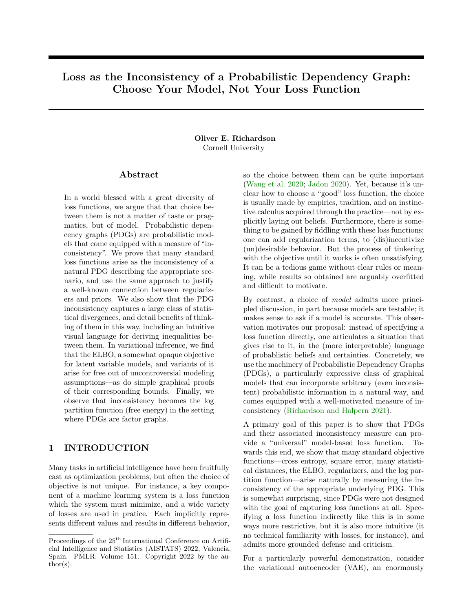# **Loss as the Inconsistency of a Probabilistic Dependency Graph: Choose Your Model, Not Your Loss Function**

### **Oliver E. Richardson** Cornell University

### **Abstract**

In a world blessed with a great diversity of loss functions, we argue that that choice between them is not a matter of taste or pragmatics, but of model. Probabilistic depencency graphs (PDGs) are probabilistic models that come equipped with a measure of "inconsistency". We prove that many standard loss functions arise as the inconsistency of a natural PDG describing the appropriate scenario, and use the same approach to justify a well-known connection between regularizers and priors. We also show that the PDG inconsistency captures a large class of statistical divergences, and detail benefits of thinking of them in this way, including an intuitive visual language for deriving inequalities between them. In variational inference, we find that the ELBO, a somewhat opaque objective for latent variable models, and variants of it arise for free out of uncontroversial modeling assumptions—as do simple graphical proofs of their corresponding bounds. Finally, we observe that inconsistency becomes the log partition function (free energy) in the setting where PDGs are factor graphs.

## **1 INTRODUCTION**

Many tasks in artificial intelligence have been fruitfully cast as optimization problems, but often the choice of objective is not unique. For instance, a key component of a machine learning system is a loss function which the system must minimize, and a wide variety of losses are used in pratice. Each implicitly represents different values and results in different behavior, so the choice between them can be quite important [\(Wang et al. 2020;](#page-9-0) [Jadon 2020\)](#page-9-1). Yet, because it's unclear how to choose a "good" loss function, the choice is usually made by empirics, tradition, and an instinctive calculus acquired through the practice—not by explicitly laying out beliefs. Furthermore, there is something to be gained by fiddling with these loss functions: one can add regularization terms, to (dis)incentivize (un)desirable behavior. But the process of tinkering with the objective until it works is often unsatisfying. It can be a tedious game without clear rules or meaning, while results so obtained are arguably overfitted and difficult to motivate.

By contrast, a choice of *model* admits more principled discussion, in part because models are testable; it makes sense to ask if a model is accurate. This observation motivates our proposal: instead of specifying a loss function directly, one articulates a situation that gives rise to it, in the (more interpretable) language of probablistic beliefs and certainties. Concretely, we use the machinery of Probabilistic Dependency Graphs (PDGs), a particularly expressive class of graphical models that can incorporate arbitrary (even inconsistent) probabilistic information in a natural way, and comes equipped with a well-motivated measure of inconsistency [\(Richardson and Halpern 2021\)](#page-9-2).

A primary goal of this paper is to show that PDGs and their associated inconsistency measure can provide a "universal" model-based loss function. Towards this end, we show that many standard objective functions—cross entropy, square error, many statistical distances, the ELBO, regularizers, and the log partition function—arise naturally by measuring the inconsistency of the appropriate underlying PDG. This is somewhat surprising, since PDGs were not designed with the goal of capturing loss functions at all. Specifying a loss function indirectly like this is in some ways more restrictive, but it is also more intuitive (it no technical familiarity with losses, for instance), and admits more grounded defense and criticism.

For a particularly powerful demonstration, consider the variational autoencoder (VAE), an enormously

Proceedings of the  $25<sup>th</sup>$  International Conference on Artificial Intelligence and Statistics (AISTATS) 2022, Valencia, Spain. PMLR: Volume 151. Copyright 2022 by the au- $\text{thor}(s)$ .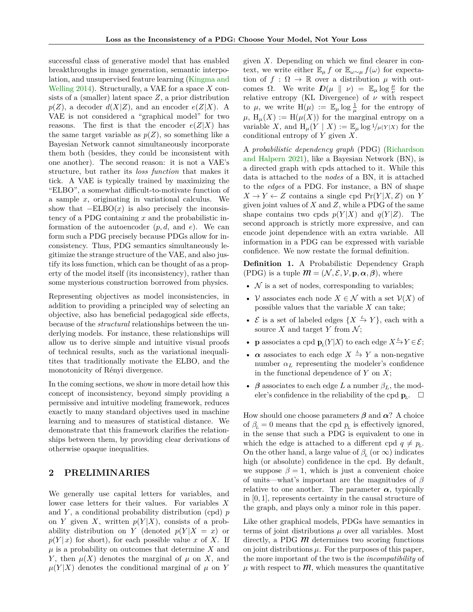successful class of generative model that has enabled breakthroughs in image generation, semantic interpolation, and unsupervised feature learning [\(Kingma and](#page-9-3) [Welling 2014\)](#page-9-3). Structurally, a VAE for a space *X* consists of a (smaller) latent space *Z*, a prior distribution  $p(Z)$ , a decoder  $d(X|Z)$ , and an encoder  $e(Z|X)$ . A VAE is not considered a "graphical model" for two reasons. The first is that the encoder  $e(Z|X)$  has the same target variable as  $p(Z)$ , so something like a Bayesian Network cannot simultaneously incorporate them both (besides, they could be inconsistent with one another). The second reason: it is not a VAE's structure, but rather its *loss function* that makes it tick. A VAE is typically trained by maximizing the "ELBO", a somewhat difficult-to-motivate function of a sample *x*, originating in variational calculus. We show that  $-ELBO(x)$  is also precisely the inconsistency of a PDG containing *x* and the probabilistic information of the autoencoder (*p, d*, and *e*). We can form such a PDG precisely because PDGs allow for inconsistency. Thus, PDG semantics simultaneously legitimize the strange structure of the VAE, and also justify its loss function, which can be thought of as a property of the model itself (its inconsistency), rather than some mysterious construction borrowed from physics.

Representing objectives as model inconsistencies, in addition to providing a principled way of selecting an objective, also has beneficial pedagogical side effects, because of the *structural* relationships between the underlying models. For instance, these relationships will allow us to derive simple and intuitive visual proofs of technical results, such as the variational inequalitites that traditionally motivate the ELBO, and the monotonicity of Rényi divergence.

In the coming sections, we show in more detail how this concept of inconsistency, beyond simply providing a permissive and intuitive modeling framework, reduces exactly to many standard objectives used in machine learning and to measures of statistical distance. We demonstrate that this framework clarifies the relationships between them, by providing clear derivations of otherwise opaque inequalities.

### **2 PRELIMINARIES**

We generally use capital letters for variables, and lower case letters for their values. For variables *X* and *Y* , a conditional probability distribution (cpd) *p* on *Y* given *X*, written  $p(Y|X)$ , consists of a probability distribution on *Y* (denoted  $p(Y|X = x)$  or  $p(Y|x)$  for short), for each possible value *x* of *X*. If *µ* is a probability on outcomes that determine *X* and *Y*, then  $\mu(X)$  denotes the marginal of  $\mu$  on *X*, and  $\mu(Y|X)$  denotes the conditional marginal of  $\mu$  on *Y*  given *X*. Depending on which we find clearer in context, we write either  $\mathbb{E}_{\mu} f$  or  $\mathbb{E}_{\omega \sim \mu} f(\omega)$  for expectation of  $f : \Omega \to \mathbb{R}$  over a distribution  $\mu$  with outcomes  $\Omega$ . We write  $D(\mu \parallel \nu) = \mathbb{E}_{\mu} \log \frac{\mu}{\nu}$  for the relative entropy (KL Divergence) of *ν* with respect to  $\mu$ , we write  $H(\mu) := \mathbb{E}_{\mu} \log \frac{1}{\mu}$  for the entropy of  $\mu$ ,  $H_{\mu}(X) := H(\mu(X))$  for the marginal entropy on a variable *X*, and  $H_\mu(Y \mid X) := \mathbb{E}_\mu \log 1/\mu(Y \mid X)$  for the conditional entropy of *Y* given *X*.

A *probabilistic dependency graph* (PDG) [\(Richardson](#page-9-2) [and Halpern 2021\)](#page-9-2), like a Bayesian Network (BN), is a directed graph with cpds attached to it. While this data is attached to the *nodes* of a BN, it is attached to the *edges* of a PDG. For instance, a BN of shape  $X \to Y \leftarrow Z$  contains a single cpd  $\Pr(Y|X, Z)$  on *Y* given joint values of *X* and *Z*, while a PDG of the same shape contains two cpds  $p(Y|X)$  and  $q(Y|Z)$ . The second approach is strictly more expressive, and can encode joint dependence with an extra variable. All information in a PDG can be expressed with variable confidence. We now restate the formal definition.

<span id="page-1-0"></span>**Definition 1.** A Probabilistic Dependency Graph (PDG) is a tuple  $\mathcal{M} = (\mathcal{N}, \mathcal{E}, \mathcal{V}, \mathbf{p}, \alpha, \beta)$ , where

- $\mathcal N$  is a set of nodes, corresponding to variables;
- *V* associates each node  $X \in \mathcal{N}$  with a set  $V(X)$  of possible values that the variable *X* can take;
- $\mathcal{E}$  is a set of labeled edges  $\{X \stackrel{L}{\rightarrow} Y\}$ , each with a source *X* and target *Y* from  $\mathcal{N}$ ;
- **p** associates a cpd  $\mathbf{p}_L(Y|X)$  to each edge  $X \xrightarrow{L} Y \in \mathcal{E}$ ;
- $\alpha$  associates to each edge  $X \stackrel{L}{\rightarrow} Y$  a non-negative number  $\alpha_L$  representing the modeler's confidence in the functional dependence of *Y* on *X*;
- *β* associates to each edge *L* a number  $\beta_L$ , the modeler's confidence in the reliability of the cpd  $\mathbf{p}_L$ .  $\Box$

How should one choose parameters  $\beta$  and  $\alpha$ ? A choice of  $\beta_L = 0$  means that the cpd  $p_L$  is effectively ignored, in the sense that such a PDG is equivalent to one in which the edge is attached to a different cpd  $q \neq p_L$ . On the other hand, a large value of  $\beta_L$  (or  $\infty$ ) indicates high (or absolute) confidence in the cpd. By default, we suppose  $\beta = 1$ , which is just a convenient choice of units—what's important are the magnitudes of *β* relative to one another. The parameter  $\alpha$ , typically in [0*,* 1], represents certainty in the causal structure of the graph, and plays only a minor role in this paper.

Like other graphical models, PDGs have semantics in terms of joint distributions  $\mu$  over all variables. Most directly, a PDG  $\hat{m}$  determines two scoring functions on joint distributions  $\mu$ . For the purposes of this paper, the more important of the two is the *incompatibility* of  $\mu$  with respect to  $\mathcal{M}$ , which measures the quantitative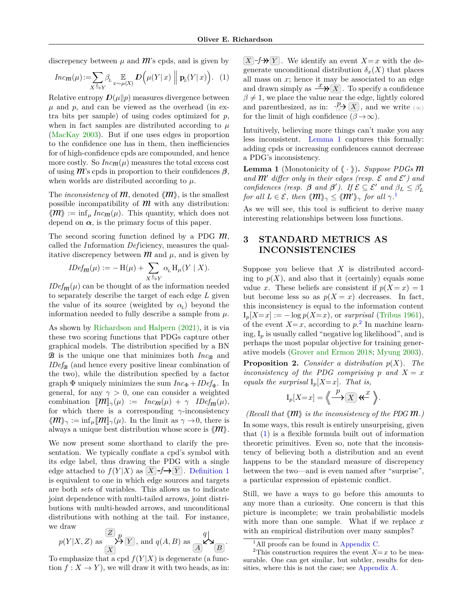discrepency between  $\mu$  and  $\hat{m}$ 's cpds, and is given by

<span id="page-2-3"></span>
$$
Incm(\mu) := \sum_{X \xrightarrow{L} Y} \beta_L \underset{x \sim \mu(X)}{\mathbb{E}} \mathcal{D}\left(\mu(Y \mid x) \middle| \mathbf{p}_L(Y \mid x)\right). \tag{1}
$$

Relative entropy  $D(\mu||p)$  measures divergence between  $\mu$  and  $p$ , and can be viewed as the overhead (in extra bits per sample) of using codes optimized for *p*, when in fact samples are distributed according to  $\mu$ [\(MacKay 2003\)](#page-9-4). But if one uses edges in proportion to the confidence one has in them, then inefficiencies for of high-confidence cpds are compounded, and hence more costly. So  $Inc<sub>m</sub>(\mu)$  measures the total excess cost of using **M**'s cpds in proportion to their confidences *β*, when worlds are distributed according to *µ*.

The *inconsistency* of  $m$ , denoted  $\langle m \rangle$ , is the smallest possible incompatibility of  $m$  with any distribution:  $\langle \mathcal{M} \rangle := \inf_{\mu} \text{Inc}_{\mathcal{M}}(\mu)$ . This quantity, which does not depend on  $\alpha$ , is the primary focus of this paper.

The second scoring function defined by a PDG **M**, called the *I* nformation *Def* iciency, measures the qualitative discrepency between  $m$  and  $\mu$ , and is given by

$$
IDef_m(\mu) := -\mathrm{H}(\mu) + \sum_{X \xrightarrow{L} Y} \alpha_L \mathrm{H}_{\mu}(Y \mid X).
$$

*IDef* $m(\mu)$  can be thought of as the information needed to separately describe the target of each edge *L* given the value of its source (weighted by  $\alpha_L$ ) beyond the information needed to fully describe a sample from  $\mu$ .

As shown by [Richardson and Halpern \(2021\),](#page-9-2) it is via these two scoring functions that PDGs capture other graphical models. The distribution specified by a BN **B** is the unique one that minimizes both  $Inc_{\mathcal{B}}$  and  $IDef_{\mathcal{B}}$  (and hence every positive linear combination of the two), while the distribution specfied by a factor graph  $\Phi$  uniquely minimizes the sum  $Inc_{\Phi} + IDE_{\Phi}$ . In general, for any  $\gamma > 0$ , one can consider a weighted combination  $[\mathbf{M}]_{\gamma}(\mu) := \text{Inc}_{\mathbf{M}}(\mu) + \gamma \text{ IDEf}_{\mathbf{M}}(\mu),$ for which there is a corresponding *γ*-inconsistency  $\langle \mathcal{M} \rangle_{\gamma} := \inf_{\mu} [\mathcal{M}]_{\gamma}(\mu)$ . In the limit as  $\gamma \to 0$ , there is always a unique best distribution whose score is  $\langle m \rangle$ .

We now present some shorthand to clarify the presentation. We typically conflate a cpd's symbol with its edge label, thus drawing the PDG with a single edge attached to  $f(Y|X)$  as  $(X)$ *f* $\rightarrow$  $(Y)$ . [Definition 1](#page-1-0) is equivalent to one in which edge sources and targets are both *sets* of variables. This allows us to indicate joint dependence with multi-tailed arrows, joint distributions with multi-headed arrows, and unconditional distributions with nothing at the tail. For instance, we draw

$$
p(Y|X, Z)
$$
 as  $\mathcal{L}_{\mathbf{X}}^{\mathbf{Z}}(Y)$ , and  $q(A, B)$  as  $\mathcal{L}_{\mathbf{X}}^{\mathbf{Q}}(Y)$ .

.

To emphasize that a cpd  $f(Y|X)$  is degenerate (a function  $f: X \to Y$ , we will draw it with two heads, as in:

 $(X \mid f \rightarrow Y)$ . We identify an event  $X = x$  with the degenerate unconditional distribution  $\delta_x(X)$  that places all mass on  $x$ ; hence it may be associated to an edge and drawn simply as  $\frac{x}{\mathcal{X}}(\overline{X})$ . To specify a confidence  $\beta \neq 1$ , we place the value near the edge, lightly colored and parenthesized, as in:  $\frac{p}{\langle \beta \rangle} \overline{X}$ , and we write  $(\infty)$ for the limit of high confidence  $(\beta \to \infty)$ .

Intuitively, believing more things can't make you any less inconsistent. [Lemma 1](#page-2-0) captures this formally: adding cpds or increasing confidences cannot decrease a PDG's inconsistency.

<span id="page-2-0"></span>**Lemma 1** (Monotonicity of  $\langle \cdot, \cdot \rangle$ ). *Suppose PDGs* **M** and  $\mathcal{M}'$  differ only in their edges (resp.  $\mathcal E$  and  $\mathcal E'$ ) and *confidences (resp.*  $\beta$  *and*  $\beta'$ ). If  $\mathcal{E} \subseteq \mathcal{E}'$  *and*  $\beta_L \leq \beta'_L$ *for all*  $L \in \mathcal{E}$ *, then*  $\langle \hspace{-0.2em} \langle m \rangle \hspace{-0.2em} \rangle_{\gamma} \leq \langle \hspace{-0.2em} \langle m' \rangle \hspace{-0.2em} \rangle_{\gamma}$  *for all*  $\gamma$ .<sup>[1](#page-2-1)</sup>

As we will see, this tool is sufficient to derive many interesting relationships between loss functions.

## **3 STANDARD METRICS AS INCONSISTENCIES**

Suppose you believe that *X* is distributed according to  $p(X)$ , and also that it (certainly) equals some value *x*. These beliefs are consistent if  $p(X = x) = 1$ but become less so as  $p(X = x)$  decreases. In fact, this inconsistency is equal to the information content  $I_p[X=x] := -\log p(X=x)$ , or *surprisal* [\(Tribus 1961\)](#page-9-5), of the event  $X=x$ , according to  $p<sup>2</sup>$  $p<sup>2</sup>$  $p<sup>2</sup>$ . In machine learning, I*<sup>p</sup>* is usually called "negative log likelihood", and is perhaps the most popular objective for training generative models [\(Grover and Ermon 2018;](#page-9-6) [Myung 2003\)](#page-9-7).

<span id="page-2-5"></span>**Proposition 2.** *Consider a distribution p*(*X*)*. The inconsistency of the PDG comprising*  $p$  *and*  $X = x$ *equals the surprisal*  $I_p[X=x]$ *. That is,* 

$$
I_p[X=x] = \left\langle \leftarrow{\frac{p}{2}}\right|\overline{X}\right|\overline{X}^x.
$$

*(Recall that*  $\langle \mathcal{M} \rangle$  *is the inconsistency of the PDG*  $\mathcal{M}$ *.)* In some ways, this result is entirely unsurprising, given that [\(1\)](#page-2-3) is a flexible formula built out of information theoretic primitives. Even so, note that the inconsistency of believing both a distribution and an event happens to be the standard measure of discrepency between the two—and is even named after "surprise", a particular expression of epistemic conflict.

Still, we have a ways to go before this amounts to any more than a curiosity. One concern is that this picture is incomplete; we train probabilistic models with more than one sample. What if we replace *x* with an empirical distribution over many samples?

<span id="page-2-4"></span><span id="page-2-2"></span><span id="page-2-1"></span><sup>&</sup>lt;sup>1</sup>All proofs can be found in [Appendix C.](#page-13-0)

<sup>&</sup>lt;sup>2</sup>This construction requires the event  $X=x$  to be measurable. One can get similar, but subtler, results for densities, where this is not the case; see [Appendix A.](#page-10-0)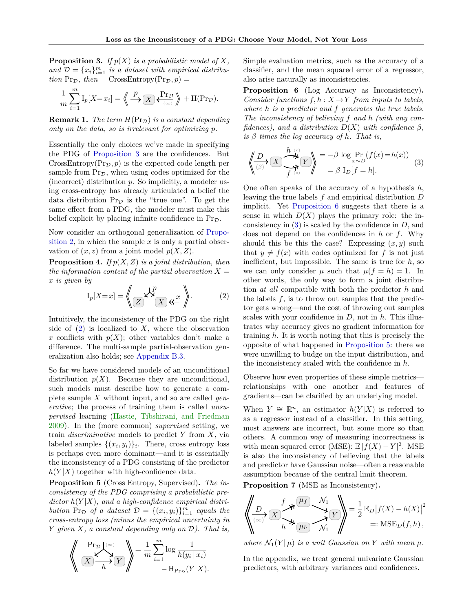**Proposition 3.** If  $p(X)$  is a probabilistic model of X, and  $\mathcal{D} = \{x_i\}_{i=1}^m$  *is a dataset with empirical distribu-* $\lim_{\mathcal{D}} \Pr_{\mathcal{D}}$ , then  $\operatorname{CrossEntropy}(\Pr_{\mathcal{D}} , p) =$ 

$$
\frac{1}{m}\sum_{i=1}^{m} \mathrm{I}_p[X=x_i] = \left\langle \frac{p}{\sqrt{2}} \sum_{i=1}^{m} \frac{1}{\sqrt{2}} \right\rangle + \mathrm{H}(\mathrm{Pr}_{\mathcal{D}}).
$$

**Remark 1.** *The term*  $H(\Pr_{\mathcal{D}})$  *is a constant depending only on the data, so is irrelevant for optimizing p.*

Essentially the only choices we've made in specifying the PDG of [Proposition 3](#page-2-4) are the confidences. But  $CrossEntropy(Pr_{\mathcal{D}}, p)$  is the expected code length per sample from  $Pr_{\mathcal{D}}$ , when using codes optimized for the (incorrect) distribution *p*. So implicitly, a modeler using cross-entropy has already articulated a belief the data distribution  $Pr_{\mathcal{D}}$  is the "true one". To get the same effect from a PDG, the modeler must make this belief explicit by placing infinite confidence in  $Pr_{\mathcal{D}}$ .

Now consider an orthogonal generalization of [Propo](#page-2-5)[sition 2,](#page-2-5) in which the sample  $x$  is only a partial observation of  $(x, z)$  from a joint model  $p(X, Z)$ .

<span id="page-3-4"></span>**Proposition 4.** *If*  $p(X, Z)$  *is a joint distribution, then the information content of the partial observation*  $X =$ *x is given by*

<span id="page-3-0"></span>
$$
I_p[X=x] = \left\langle \bigotimes_Z \mathsf{K}^p \right\rangle \mathsf{K}x \quad (2)
$$

Intuitively, the inconsistency of the PDG on the right side of  $(2)$  is localized to *X*, where the observation x conflicts with  $p(X)$ ; other variables don't make a difference. The multi-sample partial-observation generalization also holds; see [Appendix B.3.](#page-12-0)

So far we have considered models of an unconditional distribution  $p(X)$ . Because they are unconditional, such models must describe how to generate a complete sample *X* without input, and so are called *generative*; the process of training them is called *unsupervised* learning [\(Hastie, Tibshirani, and Friedman](#page-9-8) [2009\)](#page-9-8). In the (more common) *supervised* setting, we train *discriminative* models to predict *Y* from *X*, via labeled samples  $\{(x_i, y_i)\}_i$ . There, cross entropy loss is perhaps even more dominant—and it is essentially the inconsistency of a PDG consisting of the predictor  $h(Y|X)$  together with high-confidence data.

<span id="page-3-3"></span>**Proposition 5** (Cross Entropy, Supervised)**.** *The inconsistency of the PDG comprising a probabilistic pre* $dictor h(Y|X)$ *, and a high-confidence empirical distribution*  $Pr_{\mathcal{D}}$  *of a dataset*  $\mathcal{D} = \{(x_i, y_i)\}_{i=1}^m$  *equals the cross-entropy loss (minus the empirical uncertainty in Y given X, a constant depending only on* D*). That is,*

$$
\left\langle \frac{\Pr_{\mathcal{D}}(\infty)}{\mathbb{E}[\mathbf{X}]}\right\rangle = \frac{1}{m} \sum_{i=1}^{m} \log \frac{1}{h(y_i | x_i)} - \mathbf{H}_{\Pr_{\mathcal{D}}}(Y | X).
$$

Simple evaluation metrics, such as the accuracy of a classifier, and the mean squared error of a regressor, also arise naturally as inconsistencies.

<span id="page-3-1"></span>**Proposition 6** (Log Accuracy as Inconsistency)**.** *Consider functions*  $f, h: X \rightarrow Y$  *from inputs to labels, where h is a predictor and f generates the true labels. The inconsistency of believing f and h (with any confidences*), and a distribution  $D(X)$  with confidence  $\beta$ , *is β times the log accuracy of h. That is,*

<span id="page-3-2"></span>
$$
\left\langle \underbrace{\frac{D}{\beta} \cdot \mathbf{X}}_{f^{(s)}} \underbrace{\mathbf{X} \cdot \mathbf{X}}_{f^{(s)}} \right\rangle = -\beta \log \Pr_{x \sim D} (f(x) = h(x)) \tag{3}
$$

One often speaks of the accuracy of a hypothesis *h*, leaving the true labels *f* and empirical distribution *D* implicit. Yet [Proposition 6](#page-3-1) suggests that there is a sense in which  $D(X)$  plays the primary role: the inconsistency in [\(3\)](#page-3-2) is scaled by the confidence in *D*, and does not depend on the confidences in *h* or *f*. Why should this be this the case? Expressing  $(x, y)$  such that  $y \neq f(x)$  with codes optimized for f is not just inefficient, but impossible. The same is true for *h*, so we can only consider  $\mu$  such that  $\mu(f = h) = 1$ . In other words, the only way to form a joint distribution *at all* compatible with both the predictor *h* and the labels  $f$ , is to throw out samples that the predictor gets wrong—and the cost of throwing out samples scales with your confidence in *D*, not in *h*. This illustrates why accuracy gives no gradient information for training *h*. It is worth noting that this is precisely the opposite of what happened in [Proposition 5:](#page-3-3) there we were unwilling to budge on the input distribution, and the inconsistency scaled with the confidence in *h*.

Observe how even properties of these simple metrics relationships with one another and features of gradients—can be clarified by an underlying model.

When  $Y \cong \mathbb{R}^n$ , an estimator  $h(Y|X)$  is referred to as a regressor instead of a classifier. In this setting, most answers are incorrect, but some more so than others. A common way of measuring incorrectness is with mean squared error (MSE):  $\mathbb{E} |f(X) - Y|^2$ . MSE is also the inconsistency of believing that the labels and predictor have Gaussian noise—often a reasonable assumption because of the central limit theorem.

<span id="page-3-5"></span>**Proposition 7** (MSE as Inconsistency)**.**

$$
\left\langle \underbrace{\frac{D}{\langle \infty \rangle} \left( X \right)^f \mathcal{H}}_{h} \underbrace{\frac{\mu_f}{\mu_h} \mathcal{M}_1}_{\mathcal{N}_1} \right\rangle = \frac{1}{2} \mathbb{E}_D \left| f(X) - h(X) \right|^2
$$
  
=: MSE<sub>D</sub>(f,h),

*where*  $\mathcal{N}_1(Y|\mu)$  *is a unit Gaussian on Y with mean*  $\mu$ *.* 

In the appendix, we treat general univariate Gaussian predictors, with arbitrary variances and confidences.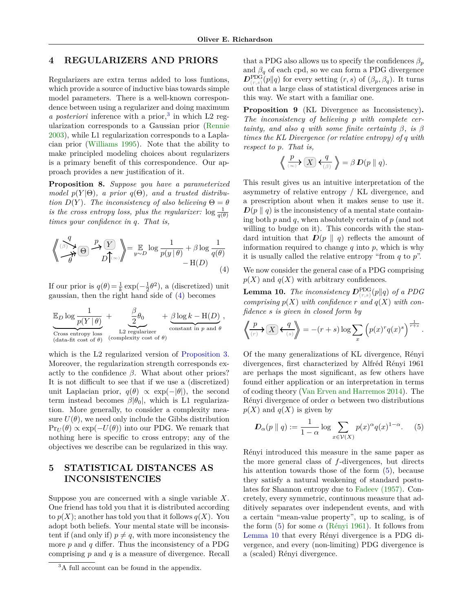## **4 REGULARIZERS AND PRIORS**

Regularizers are extra terms added to loss funtions, which provide a source of inductive bias towards simple model parameters. There is a well-known correspondence between using a regularizer and doing maximum a posteriori inference with a prior,<sup>[3](#page-4-0)</sup> in which L2 regularization corresponds to a Gaussian prior [\(Rennie](#page-9-9) [2003\)](#page-9-9), while L1 regularization corresponds to a Laplacian prior [\(Williams 1995\)](#page-9-10). Note that the ability to make principled modeling choices about regularizers is a primary benefit of this correspondence. Our approach provides a new justification of it.

<span id="page-4-4"></span>**Proposition 8.** *Suppose you have a parameterized model*  $p(Y|\Theta)$ , a prior  $q(\Theta)$ , and a trusted distribu*tion*  $D(Y)$ *. The inconsistency of also believing*  $\Theta = \theta$ *is the cross entropy loss, plus the regularizer:*  $\log \frac{1}{q(\theta)}$ *times your confidence in q. That is,*

<span id="page-4-1"></span>
$$
\left\langle \bigotimes_{\beta}^{q} \bigotimes_{\beta} \bigotimes_{D} \bigotimes_{D}^{p} \bigotimes_{y \sim D} \text{log} \frac{1}{p(y|\theta)} + \beta \log \frac{1}{q(\theta)} - \text{H}(D) \right\langle 4 \rangle
$$

If our prior is  $q(\theta) = \frac{1}{k} \exp(-\frac{1}{2}\theta^2)$ , a (discretized) unit gaussian, then the right hand side of [\(4\)](#page-4-1) becomes

$$
\underbrace{\mathbb{E}_{D}\log\frac{1}{p(Y\mid\theta)}}_{\text{Cross entropy loss}} + \underbrace{\frac{\beta}{2}\theta_{0}}_{\text{L2 regularizer}} + \underbrace{\beta\log k - \text{H}(D)}_{\text{constant in } p \text{ and } \theta},
$$

which is the L2 regularized version of [Proposition 3.](#page-2-4) Moreover, the regularization strength corresponds exactly to the confidence  $\beta$ . What about other priors? It is not difficult to see that if we use a (discretized) unit Laplacian prior,  $q(\theta) \propto \exp(-|\theta|)$ , the second term instead becomes  $β|θ_0|$ , which is L1 regularization. More generally, to consider a complexity measure  $U(\theta)$ , we need only include the Gibbs distribution  $Pr_U(\theta) \propto \exp(-U(\theta))$  into our PDG. We remark that nothing here is specific to cross entropy; any of the objectives we describe can be regularized in this way.

## **5 STATISTICAL DISTANCES AS INCONSISTENCIES**

Suppose you are concerned with a single variable *X*. One friend has told you that it is distributed according to  $p(X)$ ; another has told you that it follows  $q(X)$ . You adopt both beliefs. Your mental state will be inconsistent if (and only if)  $p \neq q$ , with more inconsistency the more  $p$  and  $q$  differ. Thus the inconsistency of a PDG comprising *p* and *q* is a measure of divergence. Recall that a PDG also allows us to specify the confidences  $\beta_p$ and  $\beta_q$  of each cpd, so we can form a PDG divergence  $D_{(r,s)}^{\text{PDG}}(p||q)$  for every setting  $(r, s)$  of  $(\beta_p, \beta_q)$ . It turns out that a large class of statistical divergences arise in this way. We start with a familiar one.

**Proposition 9** (KL Divergence as Inconsistency)**.** *The inconsistency of believing p with complete certainty, and also q with some finite certainty*  $\beta$ *, is*  $\beta$ *times the KL Divergence (or relative entropy) of q with respect to p. That is,*

$$
\Big\langle\!\!\Big\langle\stackrel{p}{\underset{(\infty)}{\longrightarrow}}\Big(\underline{X}\Big)\,\underset{(\beta)}{\longleftarrow}\,\Big\rangle\Big\rangle=\beta\,D(p\parallel q).
$$

This result gives us an intuitive interpretation of the asymmetry of relative entropy / KL divergence, and a prescription about when it makes sense to use it.  $D(p \parallel q)$  is the inconsistency of a mental state containing both *p* and *q*, when absolutely certain of *p* (and not willing to budge on it). This concords with the standard intuition that  $D(p \parallel q)$  reflects the amount of information required to change *q* into *p*, which is why it is usually called the relative entropy "from *q* to *p*".

We now consider the general case of a PDG comprising  $p(X)$  and  $q(X)$  with arbitrary confidences.

<span id="page-4-3"></span> $\bf{Lemma~10.}$  *The inconsistency*  $\bm{D}^{\rm PDG}_{(r,s)}(p\|q)$  *of a PDG comprising*  $p(X)$  *with confidence*  $r$  *and*  $q(X)$  *with confidence s is given in closed form by*

$$
\left\langle \!\!\!\left\langle \frac{p}{\scriptscriptstyle(r)}\right\rangle \sum_{s} \left\langle \frac{q}{\scriptscriptstyle(s)} \right\rangle \!\!\!\right\rangle = -(r+s)\log \sum_x \left( p(x)^r q(x)^s \right)^{\frac{1}{r+s}}.
$$

Of the many generalizations of KL divergence, Rényi divergences, first characterized by Alfréd Rényi 1961 are perhaps the most significant, as few others have found either application or an interpretation in terms of coding theory [\(Van Erven and Harremos 2014\)](#page-9-11). The Rényi divergence of order  $\alpha$  between two distributions  $p(X)$  and  $q(X)$  is given by

<span id="page-4-2"></span>
$$
D_{\alpha}(p \parallel q) := \frac{1}{1 - \alpha} \log \sum_{x \in \mathcal{V}(X)} p(x)^{\alpha} q(x)^{1 - \alpha}.
$$
 (5)

Rényi introduced this measure in the same paper as the more general class of *f*-divergences, but directs his attention towards those of the form [\(5\)](#page-4-2), because they satisfy a natural weakening of standard postulates for Shannon entropy due to [Fadeev \(1957\).](#page-9-12) Concretely, every symmetric, continuous measure that additively separates over independent events, and with a certain "mean-value property", up to scaling, is of the form  $(5)$  for some  $\alpha$  (Rényi 1961). It follows from [Lemma 10](#page-4-3) that every Rényi divergence is a PDG divergence, and every (non-limiting) PDG divergence is a (scaled) Rényi divergence.

<span id="page-4-0"></span><sup>&</sup>lt;sup>3</sup>A full account can be found in the appendix.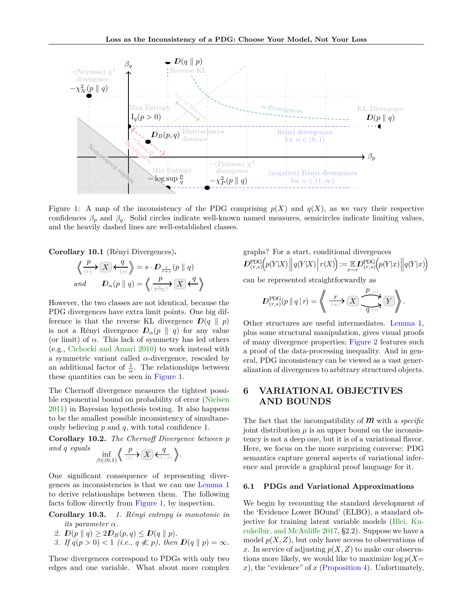

<span id="page-5-0"></span>Figure 1: A map of the inconsistency of the PDG comprising  $p(X)$  and  $q(X)$ , as we vary their respective confidences  $\beta_p$  and  $\beta_q$ . Solid circles indicate well-known named measures, semicircles indicate limiting values, and the heavily dashed lines are well-established classes.

**Corollary 10.1** (Rényi Divergences).

$$
\left\langle \underbrace{\frac{p}{\langle r \rangle} \right\rangle \left( X \right) \left\langle \underbrace{\frac{q}{\langle s \rangle}}_{q} \right\rangle = s \cdot D_{\frac{r}{r+s}}(p \parallel q)
$$
\n
$$
and \qquad D_{\alpha}(p \parallel q) = \left\langle \underbrace{\frac{p}{\langle \frac{\alpha}{1-\alpha} \rangle} \right\rangle \left( X \right) \left\langle \frac{q}{1-\alpha} \right\rangle}_{q \rightarrow q}
$$

However, the two classes are not identical, because the PDG divergences have extra limit points. One big difference is that the reverse KL divergence  $D(q \parallel p)$ is not a Rényi divergence  $D_{\alpha}(p \parallel q)$  for any value (or limit) of  $\alpha$ . This lack of symmetry has led others (e.g., [Cichocki and Amari 2010\)](#page-9-14) to work instead with a symmetric variant called  $\alpha$ -divergence, rescaled by an additional factor of  $\frac{1}{\alpha}$ . The relationships between these quantities can be seen in [Figure 1.](#page-5-0)

The Chernoff divergence measures the tightest possible exponential bound on probability of error [\(Nielsen](#page-9-15) [2011\)](#page-9-15) in Bayesian hypothesis testing. It also happens to be the smallest possible inconsistency of simultaneously believing *p* and *q*, with total confidence 1.

**Corollary 10.2.** *The Chernoff Divergence between p and q equals p q*

$$
\inf_{\beta \in (0,1)} \left\langle \frac{p}{\binom{\beta}{\beta}} \right\rangle \left( X \right) \left\langle \frac{q}{\binom{1-\beta}{\beta}} \right\rangle.
$$

One significant consequence of representing divergences as inconsistencies is that we can use [Lemma 1](#page-2-0) to derive relationships between them. The following facts follow directly from [Figure 1,](#page-5-0) by inspection.

**Corollary 10.3.** *1. R´enyi entropy is monotonic in its parameter α.*

- *2.*  $D(p || q) \ge 2D_B(p,q) \le D(q || p).$
- *3. If*  $q(p > 0) < 1$  (*i.e.,*  $q \nless p$ *), then*  $D(q || p) = \infty$ *.*

These divergences correspond to PDGs with only two edges and one variable. What about more complex

graphs? For a start, conditional divergences\n
$$
D_{(r,s)}^{\text{PDG}}(p(Y|X) || q(Y|X) | r(X)) := \mathbb{E}_{x \sim r} D_{(r,s)}^{\text{PDG}}(p(Y|x) || q(Y|x))
$$

can be represented straightforwardly as

$$
D_{(r,s)}^{\text{PDG}}(p \mid q \mid r) = \left\langle \left( \xrightarrow[r \infty]{} \sum_{(r \in \mathcal{F})} \overline{\mathcal{F}^{(r)}(r)} \right) \overline{\mathcal{F}^{(r)}(r)} \right\rangle.
$$

Other structures are useful intermediates. [Lemma 1,](#page-2-0) plus some structural manipulation, gives visual proofs of many divergence properties; [Figure 2](#page-6-0) features such a proof of the data-processing inequality. And in general, PDG inconsistency can be viewed as a vast generalization of divergences to arbitrary structured objects.

## **6 VARIATIONAL OBJECTIVES AND BOUNDS**

The fact that the incompatibility of **M** with a *specific* joint distribution  $\mu$  is an upper bound on the inconsistency is not a deep one, but it is of a variational flavor. Here, we focus on the more surprising converse: PDG semantics capture general aspects of variational inference and provide a graphical proof language for it.

#### <span id="page-5-1"></span>**6.1 PDGs and Variational Approximations**

We begin by recounting the standard development of the 'Evidence Lower BOund' (ELBO), a standard objective for training latent variable models [\(Blei, Ku](#page-9-16)[cukelbir, and McAuliffe 2017,](#page-9-16) §2.2). Suppose we have a model  $p(X, Z)$ , but only have access to observations of x. In service of adjusting  $p(X, Z)$  to make our observations more likely, we would like to maximize log *p*(*X*= *x*), the "evidence" of *x* [\(Proposition 4\)](#page-3-4). Unfortunately,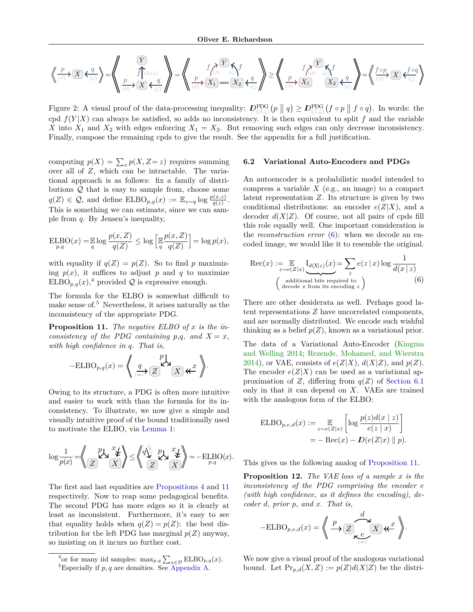$$
\left\langle \left\langle \frac{p}{\beta} \right\rangle \left( \overline{X} \right) \left\langle \left\langle \frac{q}{\beta} \right\rangle \right\rangle = \left\langle \left\langle \frac{p}{\beta} \right\rangle \left( \overline{X} \right) \left\langle \frac{q}{\beta} \right\rangle \right\rangle = \left\langle \left\langle \frac{p}{\beta} \right\rangle \left( \overline{X} \right) \left\langle \frac{q}{\beta} \right\rangle \right\rangle = \left\langle \left\langle \frac{p}{\beta} \right\rangle \left( \overline{X} \right) \right\rangle = \left\langle \left\langle \frac{p}{\beta} \right\rangle \left( \overline{X} \right) \left\langle \frac{q}{\beta} \right\rangle \right\rangle = \left\langle \left\langle \frac{p}{\beta} \right\rangle \left( \overline{X} \right) \left\langle \frac{q}{\beta} \right\rangle \right\rangle = \left\langle \left\langle \frac{p}{\beta} \right\rangle \left( \overline{X} \right) \left\langle \frac{q}{\beta} \right\rangle \right\rangle = \left\langle \left\langle \frac{p}{\beta} \right\rangle \left( \overline{X} \right) \left\langle \frac{q}{\beta} \right\rangle \right\rangle = \left\langle \left\langle \frac{p}{\beta} \right\rangle \left( \overline{X} \right) \left\langle \frac{q}{\beta} \right\rangle \right\rangle = \left\langle \left\langle \frac{p}{\beta} \right\rangle \left( \overline{X} \right) \left\langle \frac{q}{\beta} \right\rangle \right\rangle = \left\langle \left\langle \frac{p}{\beta} \right\rangle \left( \overline{X} \right) \left\langle \frac{q}{\beta} \right\rangle \right\rangle = \left\langle \left\langle \frac{p}{\beta} \right\rangle \left( \overline{X} \right) \left\langle \frac{q}{\beta} \right\rangle \right\rangle = \left\langle \left\langle \frac{p}{\beta} \right\rangle \left( \overline{X} \right) \left\langle \frac{q}{\beta} \right\rangle \right\rangle = \left\langle \left\langle \frac{p}{\beta} \right\rangle \left( \overline{X} \right) \left\langle \frac{q}{\beta} \right\rangle \right\rangle = \left\langle \left\langle \frac{p}{\beta} \right\rangle \left( \overline{X} \
$$

<span id="page-6-0"></span>Figure 2: A visual proof of the data-processing inequality:  $D_{(\beta,\zeta)}^{\text{PDG}}(p \parallel q) \geq D_{(\beta,\zeta)}^{\text{PDG}}(f \circ p \parallel f \circ q)$ . In words: the cpd  $f(Y|X)$  can always be satisfied, so adds no inconsistency. It is then equivalent to split f and the variable *X* into  $X_1$  and  $X_2$  with edges enforcing  $X_1 = X_2$ . But removing such edges can only decrease inconsistency. Finally, compose the remaining cpds to give the result. See the appendix for a full justification.

computing  $p(X) = \sum_{z} p(X, Z = z)$  requires summing over all of *Z*, which can be intractable. The variational approach is as follows: fix a family of distributions  $Q$  that is easy to sample from, choose some  $q(Z) \in \mathcal{Q}$ , and define  $ELBO_{p,q}(x) := \mathbb{E}_{z \sim q} \log \frac{p(x,z)}{q(z)}$ . This is something we can estimate, since we can sample from *q*. By Jensen's inequality,

$$
\mathop{\mathrm{ELBO}}_{p,q}(x) = \mathop{\mathbb{E}}_q \log \frac{p(x,Z)}{q(Z)} \le \log \left[ \mathop{\mathbb{E}}_q \frac{p(x,Z)}{q(Z)} \right] = \log p(x),
$$

with equality if  $q(Z) = p(Z)$ . So to find *p* maximizing  $p(x)$ , it suffices to adjust  $p$  and  $q$  to maximize  $ELBO_{p,q}(x)$ ,<sup>[4](#page-6-1)</sup> provided  $Q$  is expressive enough.

The formula for the ELBO is somewhat difficult to make sense of. $5$  Nevertheless, it arises naturally as the inconsistency of the appropriate PDG.

<span id="page-6-3"></span>**Proposition 11.** *The negative ELBO of x is the inconsistency of the PDG containing p,q, and*  $X = x$ *, with high confidence in q. That is,*

$$
-\text{ELBO}_{p,q}(x) = \left\langle \left( \underbrace{q}_{\langle \infty \rangle} \right) \underset{\mathbb{Z}}{\overset{p}{\sum}} \mathbb{Z} \right\rangle \left\langle \mathbb{Z} \right| \left\langle \mathbb{Z} \right| \xleftarrow{x} \right\rangle.
$$

Owing to its structure, a PDG is often more intuitive and easier to work with than the formula for its inconsistency. To illustrate, we now give a simple and visually intuitive proof of the bound traditionally used to motivate the ELBO, via [Lemma 1:](#page-2-0)

$$
\log \frac{1}{p(x)} = \left\langle \bigotimes_{\substack{Z \\ Z}} \bigotimes^p \mathcal{L} \mathcal{L} \right\rangle \leq \left\langle \bigotimes^{\widehat{\mathbb{Q}}}_Z \bigotimes^p \mathcal{L} \mathcal{L} \bigotimes^p_{\mathcal{L}} \right\rangle = - \mathop{\mathrm{ELBO}}_{p,q}(x).
$$

The first and last equalities are [Propositions 4](#page-3-4) and [11](#page-6-3) respectively. Now to reap some pedagogical benefits. The second PDG has more edges so it is clearly at least as inconsistent. Furthermore, it's easy to see that equality holds when  $q(Z) = p(Z)$ : the best distribution for the left PDG has marginal  $p(Z)$  anyway, so insisting on it incurs no further cost.

#### **6.2 Variational Auto-Encoders and PDGs**

An autoencoder is a probabilistic model intended to compress a variable *X* (e.g., an image) to a compact latent representation *Z*. Its structure is given by two conditional distributions: an encoder  $e(Z|X)$ , and a decoder  $d(X|Z)$ . Of course, not all pairs of cpds fill this role equally well. One important consideration is the *reconstruction error* [\(6\)](#page-6-4): when we decode an encoded image, we would like it to resemble the original.

<span id="page-6-4"></span>
$$
\operatorname{Rec}(x) := \mathop{\mathbb{E}}_{z \sim e(Z|x)} \underbrace{\operatorname{I}_{d(X|z)}(x)}_{\text{additional bits required to}} = \sum_{z} e(z | x) \log \frac{1}{d(x | z)}
$$
  
\n(6)

There are other desiderata as well. Perhaps good latent representations *Z* have uncorrelated components, and are normally distributed. We encode such wishful thinking as a belief  $p(Z)$ , known as a variational prior.

The data of a Variational Auto-Encoder [\(Kingma](#page-9-3) [and Welling 2014;](#page-9-3) [Rezende, Mohamed, and Wierstra](#page-9-17) [2014\)](#page-9-17), or VAE, consists of  $e(Z|X)$ ,  $d(X|Z)$ , and  $p(Z)$ . The encoder  $e(Z|X)$  can be used as a variational approximation of *Z*, differing from  $q(Z)$  of [Section 6.1](#page-5-1) only in that it can depend on *X*. VAEs are trained with the analogous form of the ELBO:

$$
\begin{aligned} \text{ELBO}_{p,e,d}(x) &:= \mathop{\mathbb{E}}_{z \sim e(Z|x)} \left[ \log \frac{p(z)d(x \mid z)}{e(z \mid x)} \right] \\ &= -\text{Rec}(x) - \mathcal{D}(e(Z|x) \parallel p). \end{aligned}
$$

This gives us the following analog of [Proposition 11.](#page-6-3)

<span id="page-6-5"></span>**Proposition 12.** *The VAE loss of a sample x is the inconsistency of the PDG comprising the encoder e (with high confidence, as it defines the encoding), decoder d, prior p, and x. That is,*

$$
-\text{ELBO}_{p,e,d}(x) = \left\langle \bigoplus_{\substack{p \to \infty \\ (\infty) }} \frac{d}{p} \mathbb{E} \left( \sum_{\substack{p \in \mathbb{Z} \\ (\infty) }} \mathbb{E} \right) \mathbb{E} \right\rangle.
$$

We now give a visual proof of the analogous variational bound. Let  $Pr_{p,d}(X,Z) := p(Z)d(X|Z)$  be the distri-

<span id="page-6-2"></span><span id="page-6-1"></span><sup>&</sup>lt;sup>4</sup> or for many iid samples:  $\max_{p,q} \sum_{x \in \mathcal{D}} \text{ELBO}_{p,q}(x)$ . <sup>5</sup>Especially if  $p, q$  are densities. See [Appendix A.](#page-10-0)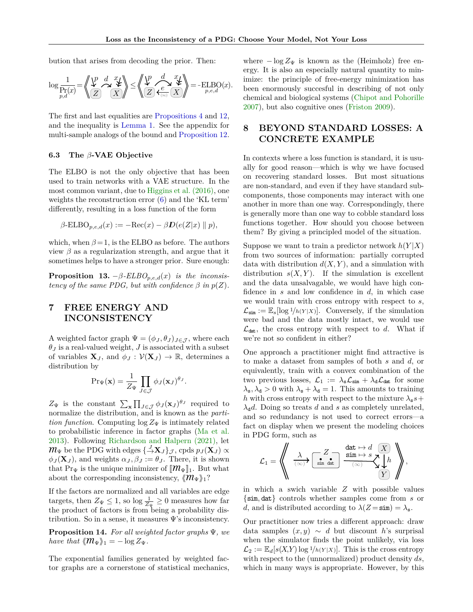bution that arises from decoding the prior. Then:

$$
\log \frac{1}{\Pr_{p,d}(x)} = \left\langle \bigvee_{Z}^{p} \bigvee_{\text{max}}^{d} \bigvee_{X}^{x} \bigvee \right\rangle \leq \left\langle \bigvee_{Z}^{p} \bigvee_{\text{max}}^{d} \bigvee_{X}^{x} \bigvee \bigvee \bigtriangle_{p,e,d}^{x} \right\rangle = - \text{ELBO}(x).
$$

The first and last equalities are [Propositions 4](#page-3-4) and [12,](#page-6-5) and the inequality is [Lemma 1.](#page-2-0) See the appendix for multi-sample analogs of the bound and [Proposition 12.](#page-6-5)

#### **6.3 The** *β***-VAE Objective**

The ELBO is not the only objective that has been used to train networks with a VAE structure. In the most common variant, due to [Higgins et al. \(2016\),](#page-9-18) one weights the reconstruction error [\(6\)](#page-6-4) and the 'KL term' differently, resulting in a loss function of the form

$$
\beta\text{-ELBO}_{p,e,d}(x) := -\text{Rec}(x) - \beta \mathcal{D}(e(Z|x) \parallel p),
$$

which, when  $\beta = 1$ , is the ELBO as before. The authors view  $\beta$  as a regularization strength, and argue that it sometimes helps to have a stronger prior. Sure enough:

<span id="page-7-1"></span>**Proposition 13.**  $-\beta$ -*ELBO*<sub>*p,e,d*</sub>(*x*) *is the inconsistency of the same PDG, but with confidence*  $\beta$  *in*  $p(Z)$ *.* 

## **7 FREE ENERGY AND INCONSISTENCY**

A weighted factor graph  $\Psi = (\phi_J, \theta_J)_{J \in \mathcal{J}}$ , where each  $\theta_J$  is a real-valued weight,  $J$  is associated with a subset of variables  $\mathbf{X}_J$ , and  $\phi_J : \mathcal{V}(\mathbf{X}_J) \to \mathbb{R}$ , determines a distribution by

$$
\Pr_{\Psi}(\mathbf{x}) = \frac{1}{Z_{\Psi}} \prod_{J \in \mathcal{J}} \phi_J(\mathbf{x}_J)^{\theta_J}
$$

*.*

 $Z_{\Psi}$  is the constant  $\sum_{\mathbf{x}} \prod_{J \in \mathcal{J}} \phi_J(\mathbf{x}_J)^{\theta_J}$  required to normalize the distribution, and is known as the *partition function*. Computing  $\log Z_{\Psi}$  is intimately related to probabilistic inference in factor graphs [\(Ma et al.](#page-9-19) [2013\)](#page-9-19). Following [Richardson and Halpern \(2021\),](#page-9-2) let  $m_{\Psi}$  be the PDG with edges  $\{\frac{J}{\rightarrow} \mathbf{X}_{J}\}_{\mathcal{J}},$  cpds  $p_{J}(\mathbf{X}_{J}) \propto$  $\phi_J(\mathbf{X}_J)$ , and weights  $\alpha_J, \beta_J := \theta_J$ . There, it is shown that Pr<sub>Ψ</sub> is the unique minimizer of  $\|\mathcal{M}_{\Psi}\|_1$ . But what about the corresponding inconsistency,  $\langle m_{\Psi} \rangle$ <sub>1</sub>?

If the factors are normalized and all variables are edge targets, then  $Z_{\Psi} \leq 1$ , so  $\log \frac{1}{Z_{\Psi}} \geq 0$  measures how far the product of factors is from being a probability distribution. So in a sense, it measures  $\Psi$ 's inconsistency.

<span id="page-7-2"></span>**Proposition 14.** *For all weighted factor graphs* Ψ*, we have that*  $\langle \mathcal{M}_{\Psi} \rangle_1 = -\log Z_{\Psi}$ .

The exponential families generated by weighted factor graphs are a cornerstone of statistical mechanics,

where  $-\log Z_{\Psi}$  is known as the (Heimholz) free energy. It is also an especially natural quantity to minimize: the principle of free-energy minimization has been enormously succesful in describing of not only chemical and biological systems [\(Chipot and Pohorille](#page-9-20) [2007\)](#page-9-20), but also cognitive ones [\(Friston 2009\)](#page-9-21).

## <span id="page-7-0"></span>**8 BEYOND STANDARD LOSSES: A CONCRETE EXAMPLE**

In contexts where a loss function is standard, it is usually for good reason—which is why we have focused on recovering standard losses. But most situations are non-standard, and even if they have standard subcomponents, those components may interact with one another in more than one way. Correspondingly, there is generally more than one way to cobble standard loss functions together. How should you choose between them? By giving a principled model of the situation.

Suppose we want to train a predictor network  $h(Y|X)$ from two sources of information: partially corrupted data with distribution  $d(X, Y)$ , and a simulation with distribution  $s(X, Y)$ . If the simulation is excellent and the data unsalvagable, we would have high confidence in *s* and low confidence in *d*, in which case we would train with cross entropy with respect to *s*,  $\mathcal{L}_{\text{sim}} := \mathbb{E}_{s}[\log 1/h(Y|X)].$  Conversely, if the simulation were bad and the data mostly intact, we would use  $\mathcal{L}_{\text{dat}}$ , the cross entropy with respect to *d*. What if we're not so confident in either?

One approach a practitioner might find attractive is to make a dataset from samples of both *s* and *d*, or equivalently, train with a convex combination of the two previous losses,  $\mathcal{L}_1 := \lambda_s \mathcal{L}_{\text{sim}} + \lambda_d \mathcal{L}_{\text{dat}}$  for some  $\lambda_s, \lambda_d > 0$  with  $\lambda_s + \lambda_d = 1$ . This amounts to training *h* with cross entropy with respect to the mixture  $\lambda_s s +$  $\lambda_d d$ . Doing so treats *d* and *s* as completely unrelated, and so redundancy is not used to correct errors—a fact on display when we present the modeling choices in PDG form, such as

L<sup>1</sup> = \*\* sim dat *Z X Y λ* (∞) *h* dat 7→ *d* sim 7→ *s* (∞) ++*,*

in which a swich variable *Z* with possible values {sim*,* dat} controls whether samples come from *s* or *d*, and is distributed according to  $\lambda(Z = \text{sim}) = \lambda_s$ .

Our practitioner now tries a different approach: draw data samples  $(x, y) \sim d$  but discount *h*'s surprisal when the simulator finds the point unlikely, via loss  $\mathcal{L}_2 := \mathbb{E}_d[s(X,Y) \log 1/h(Y|X)].$  This is the cross entropy with respect to the (unnormalized) product density *ds*, which in many ways is appropriate. However, by this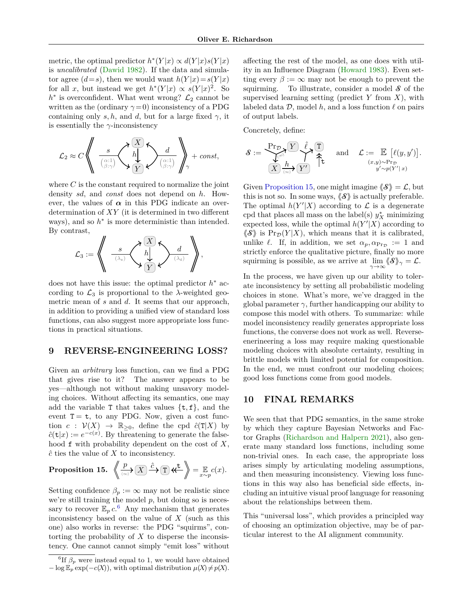metric, the optimal predictor  $h^*(Y|x) \propto d(Y|x)s(Y|x)$ is *uncalibrated* [\(Dawid 1982\)](#page-9-22). If the data and simulator agree  $(d=s)$ , then we would want  $h(Y|x) = s(Y|x)$ for all *x*, but instead we get  $h^*(Y|x) \propto s(Y|x)^2$ . So  $h^*$  is overconfident. What went wrong?  $\mathcal{L}_2$  cannot be written as the (ordinary  $\gamma = 0$ ) inconsistency of a PDG containing only *s, h,* and *d,* but for a large fixed  $\gamma$ , it is essentially the *γ*-inconsistency

$$
\mathcal{L}_2 \approx C \left\langle \left\langle \begin{array}{c} s \\ \frac{\alpha^{11}}{\beta^{1\gamma}} \end{array} \right\rangle \left\langle \begin{array}{c} \overline{X} \\ h \end{array} \right\rangle \left\langle \begin{array}{c} d \\ \overline{\beta^{1\gamma}} \end{array} \right\rangle \right\rangle + const,
$$

where *C* is the constant required to normalize the joint density *sd*, and *const* does not depend on *h*. However, the values of  $\alpha$  in this PDG indicate an overdetermination of *XY* (it is determined in two different ways), and so  $h^*$  is more deterministic than intended. By contrast,



does not have this issue: the optimal predictor *h* <sup>∗</sup> according to  $\mathcal{L}_3$  is proportional to the  $\lambda$ -weighted geometric mean of *s* and *d*. It seems that our approach, in addition to providing a unified view of standard loss functions, can also suggest more appropriate loss functions in practical situations.

### <span id="page-8-2"></span>**9 REVERSE-ENGINEERING LOSS?**

Given an *arbitrary* loss function, can we find a PDG that gives rise to it? The answer appears to be yes—although not without making unsavory modeling choices. Without affecting its semantics, one may add the variable  $T$  that takes values  $\{t, f\}$ , and the event  $T = t$ , to any PDG. Now, given a cost function  $c: V(X) \rightarrow \mathbb{R}_{\geq 0}$ , define the cpd  $\hat{c}(T|X)$  by  $\hat{c}(\mathbf{t}|x) := e^{-c(x)}$ . By threatening to generate the falsehood f with probability dependent on the cost of *X*, *c*ˆ ties the value of *X* to inconsistency.

<span id="page-8-1"></span>**Proposition 15.** 
$$
\left\langle \frac{p}{\langle x \rangle} \right\rangle \left( \overline{X} \right) \xrightarrow{\hat{c}} \overline{T} \right\rangle \left\langle \overline{T} \right\rangle = \mathbb{E}_{x \sim p} c(x).
$$

Setting confidence  $\beta_p := \infty$  may not be realistic since we're still training the model *p*, but doing so is necessary to recover  $\mathbb{E}_p c^6$  $\mathbb{E}_p c^6$ . Any mechanism that generates inconsistency based on the value of *X* (such as this one) also works in reverse: the PDG "squirms", contorting the probability of *X* to disperse the inconsistency. One cannot cannot simply "emit loss" without affecting the rest of the model, as one does with utility in an Influence Diagram [\(Howard 1983\)](#page-9-23). Even setting every  $\beta := \infty$  may not be enough to prevent the squirming. To illustrate, consider a model **S** of the supervised learning setting (predict *Y* from *X*), with labeled data  $\mathcal{D}$ , model  $h$ , and a loss function  $\ell$  on pairs of output labels.

Concretely, define:

$$
\mathcal{S} := \underbrace{\underbrace{\Pr_{\mathcal{D}}\left\{Y\right\}}_{\left(X\right)\overset{\ell}{\longrightarrow}\left\{\mathcal{V}\right\}}\overset{\hat{\ell}}{\underset{\left(\infty\right)}{\uparrow}}\uparrow\uparrow}_{\updownarrow}\quad\text{and}\quad\mathcal{L} := \underset{\substack{(x,y)\sim\Pr_{\mathcal{D}}\\\text{$y'\sim p(Y'|x)$}}}{\mathbb{E}}\left[\ell(y,y')\right].
$$

Given [Proposition 15,](#page-8-1) one might imagine  $\langle \mathcal{S} \rangle = \mathcal{L}$ , but this is not so. In some ways,  $\langle \mathcal{S} \rangle$  is actually preferable. The optimal  $h(Y'|X)$  according to  $\mathcal L$  is a degenerate % cpd that places all mass on the label(s)  $y_X^*$  minimizing expected loss, while the optimal  $h(Y'|X)$  according to  $\langle \mathcal{S} \rangle$  is Pr<sub>D</sub>(*Y*|*X*), which means that it is calibrated, unlike  $\ell$ . If, in addition, we set  $\alpha_p, \alpha_{\text{Pr}_{\mathcal{D}}} := 1$  and strictly enforce the qualitative picture, finally no more squirming is possible, as we arrive at  $\lim_{\gamma \to \infty} \langle \!\langle \mathcal{S} \rangle\!\rangle_{\gamma} = \mathcal{L}$ .

In the process, we have given up our ability to tolerate inconsistency by setting all probabilistic modeling choices in stone. What's more, we've dragged in the global parameter  $\gamma$ , further handicapping our ability to compose this model with others. To summarize: while model inconsistency readily generates appropriate loss functions, the converse does not work as well. Reverseenerineering a loss may require making questionable modeling choices with absolute certainty, resulting in brittle models with limited potential for composition. In the end, we must confront our modeling choices; good loss functions come from good models.

### **10 FINAL REMARKS**

We seen that that PDG semantics, in the same stroke by which they capture Bayesian Networks and Factor Graphs [\(Richardson and Halpern 2021\)](#page-9-2), also generate many standard loss functions, including some non-trivial ones. In each case, the appropriate loss arises simply by articulating modeling assumptions, and then measuring inconsistency. Viewing loss functions in this way also has beneficial side effects, including an intuitive visual proof language for reasoning about the relationships between them.

This "universal loss", which provides a principled way of choosing an optimization objective, may be of particular interest to the AI alignment community.

<span id="page-8-0"></span><sup>&</sup>lt;sup>6</sup>If  $\beta_p$  were instead equal to 1, we would have obtained  $-\log E_p \exp(-c(X))$ , with optimal distribution  $\mu(X) \neq p(X)$ .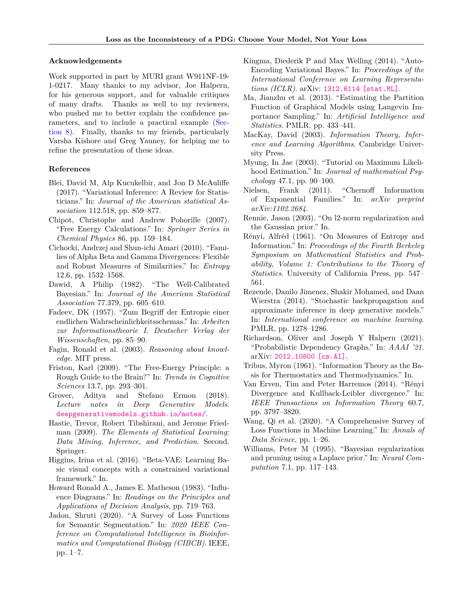#### **Acknowledgements**

Work supported in part by MURI grant W911NF-19- 1-0217. Many thanks to my advisor, Joe Halpern, for his generous support, and for valuable critiques of many drafts. Thanks as well to my reviewers, who pushed me to better explain the confidence parameters, and to include a practical example [\(Sec](#page-7-0)[tion 8\)](#page-7-0). Finally, thanks to my friends, particularly Varsha Kishore and Greg Yauney, for helping me to refine the presentation of these ideas.

#### **References**

- <span id="page-9-16"></span>Blei, David M, Alp Kucukelbir, and Jon D McAuliffe (2017). "Variational Inference: A Review for Statisticians." In: *Journal of the American statistical Association* 112.518, pp. 859–877.
- <span id="page-9-20"></span>Chipot, Christophe and Andrew Pohorille (2007). "Free Energy Calculations." In: *Springer Series in Chemical Physics* 86, pp. 159–184.
- <span id="page-9-14"></span>Cichocki, Andrzej and Shun-ichi Amari (2010). "Families of Alpha Beta and Gamma Divergences: Flexible and Robust Measures of Similarities." In: *Entropy* 12.6, pp. 1532–1568.
- <span id="page-9-22"></span>Dawid, A Philip (1982). "The Well-Calibrated Bayesian." In: *Journal of the American Statistical Association* 77.379, pp. 605–610.
- <span id="page-9-12"></span>Fadeev, DK (1957). "Zum Begriff der Entropie einer endlichen Wahrscheinlichkeitsschemas." In: *Arbeiten zur Informationstheorie I. Deutscher Verlag der Wissenschaften*, pp. 85–90.
- <span id="page-9-24"></span>Fagin, Ronald et al. (2003). *Reasoning about knowledge*. MIT press.
- <span id="page-9-21"></span>Friston, Karl (2009). "The Free-Energy Principle: a Rough Guide to the Brain?" In: *Trends in Cognitive Sciences* 13.7, pp. 293–301.
- <span id="page-9-6"></span>Grover, Aditya and Stefano Ermon (2018). *Lecture notes in Deep Generative Models*. <deepgenerativemodels.github.io/notes/>.
- <span id="page-9-8"></span>Hastie, Trevor, Robert Tibshirani, and Jerome Friedman (2009). *The Elements of Statistical Learning: Data Mining, Inference, and Prediction*. Second. Springer.
- <span id="page-9-18"></span>Higgins, Irina et al. (2016). "Beta-VAE: Learning Basic visual concepts with a constrained variational framework." In.
- <span id="page-9-23"></span>Howard Ronald A., James E. Matheson (1983). "Influence Diagrams." In: *Readings on the Principles and Applications of Decision Analysis*, pp. 719–763.
- <span id="page-9-1"></span>Jadon, Shruti (2020). "A Survey of Loss Functions for Semantic Segmentation." In: *2020 IEEE Conference on Computational Intelligence in Bioinformatics and Computational Biology (CIBCB)*. IEEE, pp. 1–7.
- <span id="page-9-3"></span>Kingma, Diederik P and Max Welling (2014). "Auto-Encoding Variational Bayes." In: *Proceedings of the International Conference on Learning Representations (ICLR)*. arXiv: [1312.6114 \[stat.ML\]](https://arxiv.org/abs/1312.6114).
- <span id="page-9-19"></span>Ma, Jianzhu et al. (2013). "Estimating the Partition Function of Graphical Models using Langevin Importance Sampling." In: *Artificial Intelligence and Statistics*. PMLR, pp. 433–441.
- <span id="page-9-4"></span>MacKay, David (2003). *Information Theory, Inference and Learning Algorithms*. Cambridge University Press.
- <span id="page-9-7"></span>Myung, In Jae (2003). "Tutorial on Maximum Likelihood Estimation." In: *Journal of mathematical Psychology* 47.1, pp. 90–100.
- <span id="page-9-15"></span>Nielsen, Frank (2011). "Chernoff Information of Exponential Families." In: *arXiv preprint arXiv:1102.2684*.
- <span id="page-9-9"></span>Rennie, Jason (2003). "On l2-norm regularization and the Gaussian prior." In.
- <span id="page-9-13"></span>Rényi, Alfréd (1961). "On Measures of Entropy and Information." In: *Proceedings of the Fourth Berkeley Symposium on Mathematical Statistics and Probability, Volume 1: Contributions to the Theory of Statistics*. University of California Press, pp. 547– 561.
- <span id="page-9-17"></span>Rezende, Danilo Jimenez, Shakir Mohamed, and Daan Wierstra (2014). "Stochastic backpropagation and approximate inference in deep generative models." In: *International conference on machine learning*. PMLR, pp. 1278–1286.
- <span id="page-9-2"></span>Richardson, Oliver and Joseph Y Halpern (2021). "Probabilistic Dependency Graphs." In: *AAAI '21*. arXiv: [2012.10800 \[cs.AI\]](https://arxiv.org/abs/2012.10800).
- <span id="page-9-5"></span>Tribus, Myron (1961). "Information Theory as the Basis for Thermostatics and Thermodynamics." In.
- <span id="page-9-11"></span>Van Erven, Tim and Peter Harremos (2014). "Rényi Divergence and Kullback-Leibler divergence." In: *IEEE Transactions on Information Theory* 60.7, pp. 3797–3820.
- <span id="page-9-0"></span>Wang, Qi et al. (2020). "A Comprehensive Survey of Loss Functions in Machine Learning." In: *Annals of Data Science*, pp. 1–26.
- <span id="page-9-10"></span>Williams, Peter M (1995). "Bayesian regularization and pruning using a Laplace prior." In: *Neural Computation* 7.1, pp. 117–143.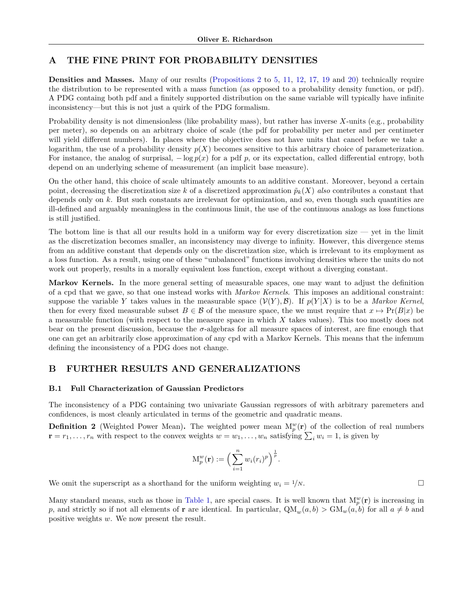## <span id="page-10-0"></span>**A THE FINE PRINT FOR PROBABILITY DENSITIES**

**Densities and Masses.** Many of our results [\(Propositions 2](#page-2-5) to [5,](#page-3-3) [11,](#page-6-3) [12,](#page-6-5) [17,](#page-11-0) [19](#page-12-1) and [20\)](#page-12-2) technically require the distribution to be represented with a mass function (as opposed to a probability density function, or pdf). A PDG containg both pdf and a finitely supported distribution on the same variable will typically have infinite inconsistency—but this is not just a quirk of the PDG formalism.

Probability density is not dimensionless (like probability mass), but rather has inverse *X*-units (e.g., probability per meter), so depends on an arbitrary choice of scale (the pdf for probability per meter and per centimeter will yield different numbers). In places where the objective does not have units that cancel before we take a logarithm, the use of a probability density  $p(X)$  becomes sensitive to this arbitrary choice of parameterization. For instance, the analog of surprisal,  $-\log p(x)$  for a pdf p, or its expectation, called differential entropy, both depend on an underlying scheme of measurement (an implicit base measure).

On the other hand, this choice of scale ultimately amounts to an additive constant. Moreover, beyond a certain point, decreasing the discretization size *k* of a discretized approximation  $\tilde{p}_k(X)$  *also* contributes a constant that depends only on *k*. But such constants are irrelevant for optimization, and so, even though such quantities are ill-defined and arguably meaningless in the continuous limit, the use of the continuous analogs as loss functions is still justified.

The bottom line is that all our results hold in a uniform way for every discretization size — yet in the limit as the discretization becomes smaller, an inconsistency may diverge to infinity. However, this divergence stems from an additive constant that depends only on the discretization size, which is irrelevant to its employment as a loss function. As a result, using one of these "unbalanced" functions involving densities where the units do not work out properly, results in a morally equivalent loss function, except without a diverging constant.

**Markov Kernels.** In the more general setting of measurable spaces, one may want to adjust the definition of a cpd that we gave, so that one instead works with *Markov Kernels*. This imposes an additional constraint: suppose the variable *Y* takes values in the measurable space  $(\mathcal{V}(Y), \mathcal{B})$ . If  $p(Y|X)$  is to be a *Markov Kernel*, then for every fixed measurable subset  $B \in \mathcal{B}$  of the measure space, the we must require that  $x \mapsto Pr(B|x)$  be a measurable function (with respect to the measure space in which *X* takes values). This too mostly does not bear on the present discussion, because the *σ*-algebras for all measure spaces of interest, are fine enough that one can get an arbitrarily close approximation of any cpd with a Markov Kernels. This means that the infemum defining the inconsistency of a PDG does not change.

### **B FURTHER RESULTS AND GENERALIZATIONS**

### **B.1 Full Characterization of Gaussian Predictors**

The inconsistency of a PDG containing two univariate Gaussian regressors of with arbitrary paremeters and confidences, is most cleanly articulated in terms of the geometric and quadratic means.

**Definition 2** (Weighted Power Mean). The weighted power mean  $M_p^w(\mathbf{r})$  of the collection of real numbers  $\mathbf{r} = r_1, \ldots, r_n$  with respect to the convex weights  $w = w_1, \ldots, w_n$  satisfying  $\sum_i w_i = 1$ , is given by

$$
\mathcal{M}_p^w(\mathbf{r}) := \left(\sum_{i=1}^n w_i(r_i)^p\right)^{\frac{1}{p}}.
$$

We omit the superscript as a shorthand for the uniform weighting  $w_i = \frac{1}{N}$ .

Many standard means, such as those in [Table 1,](#page-11-1) are special cases. It is well known that  $M_p^w(\mathbf{r})$  is increasing in *p*, and strictly so if not all elements of **r** are identical. In particular,  $QM_w(a, b) > GM_w(a, b)$  for all  $a \neq b$  and positive weights *w*. We now present the result.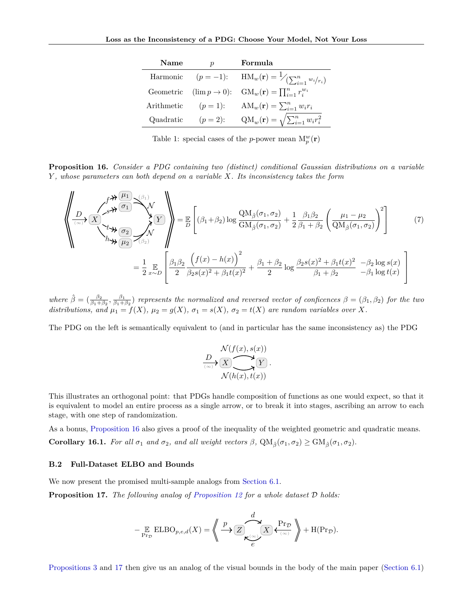| Name      | $\boldsymbol{p}$ | Formula                                                                  |
|-----------|------------------|--------------------------------------------------------------------------|
|           |                  | Harmonic $(p=-1)$ : $HM_w(\mathbf{r}) = \frac{1}{\sum_{i=1}^n w_i/r_i}$  |
|           |                  | Geometric $(\lim p \to 0):$ $GM_w(\mathbf{r}) = \prod_{i=1}^n r_i^{w_i}$ |
|           |                  | Arithmetic $(p = 1)$ : $AM_w(\mathbf{r}) = \sum_{i=1}^n w_i r_i$         |
| Quadratic | $(p = 2)$ :      | $QM_w(\mathbf{r}) = \sqrt{\sum_{i=1}^n w_i r_i^2}$                       |

<span id="page-11-1"></span>Table 1: special cases of the *p*-power mean  $M_p^w(\mathbf{r})$ 

<span id="page-11-2"></span>**Proposition 16.** *Consider a PDG containing two (distinct) conditional Gaussian distributions on a variable Y , whose parameters can both depend on a variable X. Its inconsistency takes the form*

$$
\left\langle \frac{\partial}{\partial x} \left( \frac{\partial}{\partial x} \right) \frac{\partial}{\partial x} \frac{\partial}{\partial y} \right\rangle_{(A_1, A_2)} = \frac{1}{2} \left[ (\beta_1 + \beta_2) \log \frac{Q M_{\hat{\beta}}(\sigma_1, \sigma_2)}{G M_{\hat{\beta}}(\sigma_1, \sigma_2)} + \frac{1}{2} \frac{\beta_1 \beta_2}{\beta_1 + \beta_2} \left( \frac{\mu_1 - \mu_2}{Q M_{\hat{\beta}}(\sigma_1, \sigma_2)} \right)^2 \right]
$$
\n
$$
= \frac{1}{2} \sum_{x \sim D} \left[ \frac{\beta_1 \beta_2}{2} \frac{\left( f(x) - h(x) \right)^2}{\beta_2 s(x)^2 + \beta_1 t(x)^2} + \frac{\beta_1 + \beta_2}{2} \log \frac{\beta_2 s(x)^2 + \beta_1 t(x)^2}{\beta_1 + \beta_2} - \beta_2 \log s(x) \right]
$$
\n(7)

 $\hat{\beta} = (\frac{\beta_2}{\beta_1 + \beta_2}, \frac{\beta_1}{\beta_1 + \beta_2})$  *represents the normalized and reversed vector of conficences*  $\beta = (\beta_1, \beta_2)$  *for the two distributions, and*  $\mu_1 = f(X)$ *,*  $\mu_2 = g(X)$ *,*  $\sigma_1 = s(X)$ *,*  $\sigma_2 = t(X)$  are random variables over X.

The PDG on the left is semantically equivalent to (and in particular has the same inconsistency as) the PDG

$$
\frac{D}{\sum_{(x,\sigma)}(X)} \times \frac{D}{\sum_{(x,\sigma)}(Y)} \times \frac{D}{\sum_{(x,\sigma)}(Y)}.
$$

This illustrates an orthogonal point: that PDGs handle composition of functions as one would expect, so that it is equivalent to model an entire process as a single arrow, or to break it into stages, ascribing an arrow to each stage, with one step of randomization.

As a bonus, [Proposition 16](#page-11-2) also gives a proof of the inequality of the weighted geometric and quadratic means. **Corollary 16.1.** *For all*  $\sigma_1$  *and*  $\sigma_2$ *, and all weight vectors*  $\beta$ *,*  $QM_{\hat{\beta}}(\sigma_1, \sigma_2) \geq GM_{\hat{\beta}}(\sigma_1, \sigma_2)$ *.* 

#### **B.2 Full-Dataset ELBO and Bounds**

We now present the promised multi-sample analogs from [Section 6.1.](#page-5-1)

<span id="page-11-0"></span>**Proposition 17.** *The following analog of [Proposition 12](#page-6-5) for a whole dataset* D *holds:*

− E Pr<sup>D</sup> ELBO*p,e,d*(*X*) = \*\* *<sup>Z</sup> <sup>X</sup> e* (∞) *d* Pr<sup>D</sup> (∞) *p* ++ + H(PrD)*.*

[Propositions 3](#page-2-4) and [17](#page-11-0) then give us an analog of the visual bounds in the body of the main paper [\(Section 6.1\)](#page-5-1)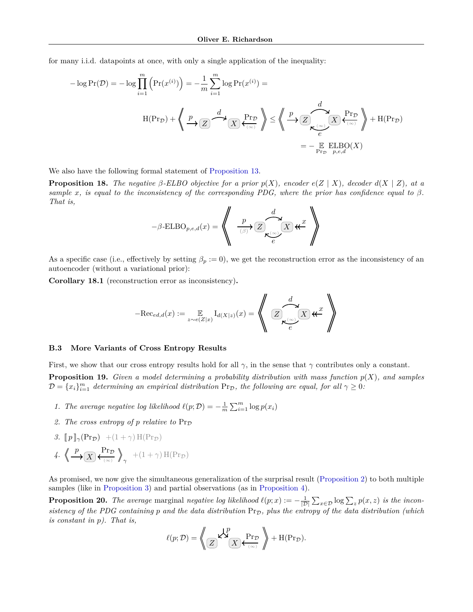for many i.i.d. datapoints at once, with only a single application of the inequality:

$$
-\log \Pr(\mathcal{D}) = -\log \prod_{i=1}^{m} \left( \Pr(x^{(i)}) \right) = -\frac{1}{m} \sum_{i=1}^{m} \log \Pr(x^{(i)}) =
$$
  

$$
H(\Pr_{\mathcal{D}}) + \left\langle \left( \frac{p}{\sqrt{2}} \right) \frac{d}{\sqrt{2}} \left( \frac{\Pr_{\mathcal{D}}}{\sqrt{2}} \right) \right\rangle \le \left\langle \left( \frac{p}{\sqrt{2}} \right) \frac{d}{\sqrt{2}} \left( \frac{\Pr_{\mathcal{D}}}{\sqrt{2}} \right) \right\rangle + H(\Pr_{\mathcal{D}})
$$

$$
= -\mathop{\mathbb{E}}_{\Pr_{\mathcal{D}}} \text{ELBO}(X)
$$

We also have the following formal statement of [Proposition 13.](#page-7-1)

<span id="page-12-3"></span>**Proposition 18.** The negative  $\beta$ -ELBO objective for a prior  $p(X)$ , encoder  $e(Z | X)$ , decoder  $d(X | Z)$ , at a *sample x*, *is equal to the inconsistency of the corresponding PDG, where the prior has confidence equal to*  $\beta$ *. That is,*

$$
-\beta\text{-ELBO}_{p,e,d}(x) = \left\langle \left(\begin{array}{c} p \\ \frac{p}{\beta} \\ \end{array}\right) \mathbb{Z}\right\rangle \mathbb{Z} \left(\mathbb{Z}\right) \mathbb{Z}^x \right\rangle
$$

As a specific case (i.e., effectively by setting  $\beta_p := 0$ ), we get the reconstruction error as the inconsistency of an autoencoder (without a variational prior):

**Corollary 18.1** (reconstruction error as inconsistency)**.**

$$
-\text{Rec}_{ed,d}(x):=\mathop{\mathbb{E}}_{z\sim e(Z|x)}\text{I}_{d(X|z)}(x)=\left\langle\left(\begin{array}{c}d\\\text{Z}\right.\text{X}_{e}\text{X}\\\text{Z}_{e}\text{X}\text{X}\text{X}\end{array}\right.\right\rangle
$$

#### <span id="page-12-0"></span>**B.3 More Variants of Cross Entropy Results**

First, we show that our cross entropy results hold for all  $\gamma$ , in the sense that  $\gamma$  contributes only a constant.

<span id="page-12-1"></span>**Proposition 19.** *Given a model determining a probability distribution with mass function*  $p(X)$ *, and samples*  $\mathcal{D} = \{x_i\}_{i=1}^m$  *determining an empirical distribution*  $Pr_{\mathcal{D}}$ *, the following are equal, for all*  $\gamma \geq 0$ *:* 

- *1. The average negative log likelihood*  $\ell(p; \mathcal{D}) = -\frac{1}{m} \sum_{i=1}^{m} \log p(x_i)$
- 2. The cross entropy of p relative to  $Pr_{\mathcal{D}}$
- *3.*  $[p]_{\gamma}(\Pr_{\mathcal{D}})$  +(1+ $\gamma$ ) H(Pr<sub>D</sub>)
- 4.  $\left\langle \frac{p}{X} \right\rangle \left\langle \frac{\text{Pr}_{\mathcal{D}}}{\left\langle \frac{\text{Pr}_{\mathcal{D}}}{X} \right\rangle}$  $(\infty)$  $\mathbb{Z}$  $\gamma$ <sup>+(1+ $\gamma$ ) H(Pr<sub>D</sub>)</sup>

As promised, we now give the simultaneous generalization of the surprisal result [\(Proposition 2\)](#page-2-5) to both multiple samples (like in [Proposition 3\)](#page-2-4) and partial observations (as in [Proposition 4\)](#page-3-4).

<span id="page-12-2"></span>**Proposition 20.** The average marginal negative log likelihood  $\ell(p; x) := -\frac{1}{|D|} \sum_{x \in D} \log \sum_{z} p(x, z)$  is the incon*sistency of the PDG containing p* and the data distribution  $Pr_{\mathcal{D}}$ *, plus the entropy of the data distribution (which is constant in p). That is,*

$$
\ell(p; \mathcal{D}) = \left\langle \mathbb{Z} \right\rangle_{\mathcal{A}} \mathcal{L}_{\mathcal{A}}^{\mathcal{P}} \left( \mathbb{Z} \right) \leftarrow \mathcal{L}_{\mathcal{A}}^{\mathcal{P}} \left( \mathbb{P} \right) + \mathcal{H}(\mathcal{P} \mathcal{T}_{\mathcal{D}}).
$$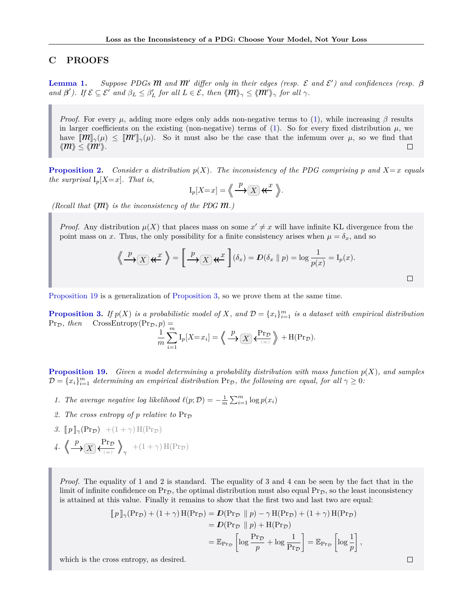## <span id="page-13-0"></span>**C PROOFS**

**[Lemma 1.](#page-2-0)** Suppose PDGs **M** and **M**<sup> $\prime$ </sup> differ only in their edges (resp.  $\mathcal{E}$  and  $\mathcal{E}'$ ) and confidences (resp.  $\beta$  $\mathcal{B}(B')$ . If  $\mathcal{E} \subseteq \mathcal{E}^I$  and  $\beta_L \leq \beta'_L$  for all  $L \in \mathcal{E}$ , then  $\langle \mathcal{M} \rangle_{\gamma} \leq \langle \mathcal{M}^I \rangle_{\gamma}$  for all  $\gamma$ .

*Proof.* For every  $\mu$ , adding more edges only adds non-negative terms to [\(1\)](#page-2-3), while increasing  $\beta$  results in larger coefficients on the existing (non-negative) terms of [\(1\)](#page-2-3). So for every fixed distribution  $\mu$ , we have  $[\![\mathbf{M}]\!]_{\gamma}(\mu) \leq [\![\mathbf{M}']\!]_{\gamma}(\mu)$ . So it must also be the case that the infemum over  $\mu$ , so we find that  $\langle m \rangle \leq \langle m' \rangle$ .  $\Box$ 

**[Proposition 2.](#page-2-5)** *Consider a distribution*  $p(X)$ *. The inconsistency of the PDG comprising*  $p$  *and*  $X = x$  *equals the surprisal*  $I_p[X=x]$ *. That is,* 

$$
\mathrm{I}_p[X=x] = \left\langle \!\!\!\left\langle \rule{0pt}{2.1ex}\right.\frac{p}{\longrightarrow} \fbox{$\bigcirc$}\right. \mathcal{K} \right\rangle \star \xleftarrow{x} \; \right\rangle \!\!\!\!\!\! \left. \right\rangle.
$$

*(Recall that*  $\langle \mathcal{M} \rangle$  *is the inconsistency of the PDG*  $\mathcal{M}$ *.)* 

*Proof.* Any distribution  $\mu(X)$  that places mass on some  $x' \neq x$  will have infinite KL divergence from the point mass on *x*. Thus, the only possibility for a finite consistency arises when  $\mu = \delta_x$ , and so

$$
\left\langle \bigoplus_{x} P_{\mathcal{F}}(X) \mathcal{K}^x \right\rangle = \left[ \bigoplus_{x} P_{\mathcal{F}}(X) \mathcal{K}^x \right] (\delta_x) = D(\delta_x \parallel p) = \log \frac{1}{p(x)} = I_p(x).
$$

[Proposition 19](#page-12-1) is a generalization of [Proposition 3,](#page-2-4) so we prove them at the same time.

**[Proposition 3.](#page-2-4)** If  $p(X)$  is a probabilistic model of X, and  $\mathcal{D} = \{x_i\}_{i=1}^m$  is a dataset with empirical distribution  $Pr_{\mathcal{D}}$ *, then*  $CrossEntropy(Pr_{\mathcal{D}}^{}, p) =$ 

$$
\frac{1}{m}\sum_{i=1}^m \mathrm{I}_p[X=x_i] = \left\langle \left( \frac{p}{\longrightarrow} \right) \right\rangle \left\langle \frac{\mathrm{Pr}_{\mathcal{D}}}{\langle \infty \rangle} \right\rangle + \mathrm{H}(\mathrm{Pr}_{\mathcal{D}}).
$$

**[Proposition 19.](#page-12-1)** *Given a model determining a probability distribution with mass function p*(*X*)*, and samples*  $\mathcal{D} = \{x_i\}_{i=1}^m$  *determining an empirical distribution*  $Pr_{\mathcal{D}}$ *, the following are equal, for all*  $\gamma \geq 0$ *:* 

- *1. The average negative log likelihood*  $\ell(p; \mathcal{D}) = -\frac{1}{m} \sum_{i=1}^{m} \log p(x_i)$
- 2. The cross entropy of  $p$  relative to  $Pr_{\mathcal{D}}$
- *3.*  $[p]_{\gamma}(\Pr_{\mathcal{D}})$  +(1 +  $\gamma$ ) H(Pr<sub>D</sub>) 4.  $\left\langle \frac{p}{X} \right\rangle \left\langle \frac{\text{Pr}_{\mathcal{D}}}{\left\langle \frac{\text{Pr}_{\mathcal{D}}}{X} \right\rangle}$ (∞) EE  $\gamma$ <sup>+(1+ $\gamma$ ) H(Pr<sub>D</sub>)</sup>

*Proof.* The equality of 1 and 2 is standard. The equality of 3 and 4 can be seen by the fact that in the limit of infinite confidence on  $Pr_{\mathcal{D}}$ , the optimal distribution must also equal  $Pr_{\mathcal{D}}$ , so the least inconsistency is attained at this value. Finally it remains to show that the first two and last two are equal:

$$
\begin{aligned}\n\llbracket p \rrbracket_{\gamma}(\Pr_D) + (1 + \gamma) \operatorname{H}(\Pr_D) &= D(\Pr_D \parallel p) - \gamma \operatorname{H}(\Pr_D) + (1 + \gamma) \operatorname{H}(\Pr_D) \\
&= D(\Pr_D \parallel p) + \operatorname{H}(\Pr_D) \\
&= \mathbb{E}_{\Pr_D} \left[ \log \frac{\Pr_D}{p} + \log \frac{1}{\Pr_D} \right] = \mathbb{E}_{\Pr_D} \left[ \log \frac{1}{p} \right],\n\end{aligned}
$$

which is the cross entropy, as desired.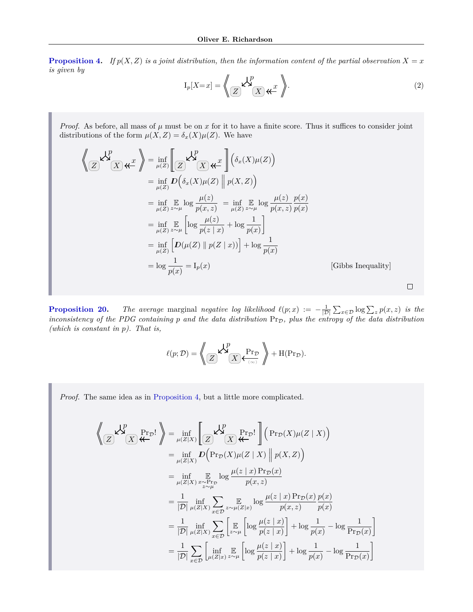**[Proposition 4.](#page-3-4)** *If*  $p(X, Z)$  *is a joint distribution, then the information content of the partial observation*  $X = x$ *is given by*

$$
I_p[X=x] = \left\langle \bigotimes_Z \mathsf{K}^p \right\rangle \mathsf{K}x \; \left\langle \bigotimes Z \right\rangle \; . \tag{2}
$$

*Proof.* As before, all mass of  $\mu$  must be on  $x$  for it to have a finite score. Thus it suffices to consider joint distributions of the form  $\mu(X, Z) = \delta_x(X)\mu(Z)$ . We have

$$
\left\langle \bigotimes_{\mathbb{Z}} \mathsf{L}^p \right\rangle = \inf_{\mu(\mathbb{Z})} \left[ \bigotimes_{\mathbb{Z}} \mathsf{L}^p \right] \left( \delta_x(X) \mu(Z) \right)
$$
\n
$$
= \inf_{\mu(\mathbb{Z})} D \left( \delta_x(X) \mu(Z) \mid p(X, Z) \right)
$$
\n
$$
= \inf_{\mu(\mathbb{Z})} \mathbb{E} \log \frac{\mu(z)}{p(x, z)} = \inf_{\mu(\mathbb{Z})} \mathbb{E} \log \frac{\mu(z)}{p(x, z)} \frac{p(x)}{p(x)}
$$
\n
$$
= \inf_{\mu(\mathbb{Z})} \mathbb{E} \left[ \log \frac{\mu(z)}{p(z \mid x)} + \log \frac{1}{p(x)} \right]
$$
\n
$$
= \inf_{\mu(\mathbb{Z})} \left[ D(\mu(Z) \mid p(Z \mid x)) \right] + \log \frac{1}{p(x)}
$$
\n
$$
= \log \frac{1}{p(x)} = I_p(x) \qquad \text{[Gibbs Inequality]}
$$

**[Proposition 20.](#page-12-2)** *The average* marginal *negative log likelihood*  $\ell(p; x) := -\frac{1}{|D|} \sum_{x \in D} \log \sum_{z} p(x, z)$  *is the inconsistency of the PDG containing p* and the data distribution  $Pr<sub>D</sub>$ , plus the entropy of the data distribution *(which is constant in p). That is,*

$$
\ell(p; \mathcal{D}) = \left\langle \mathbb{Z} \right\rangle_{\mathcal{A}} \mathcal{L}_{\mathcal{A}}^{\mathcal{P}} \left( \mathbb{Z} \right) \leftarrow \mathcal{L}_{\mathcal{A}}^{\mathcal{P}} \left( \mathbb{P} \right) + \mathcal{H}(\mathcal{P} \mathcal{T}_{\mathcal{D}}).
$$

*Proof.* The same idea as in [Proposition 4,](#page-3-4) but a little more complicated.

$$
\left\langle \bigotimes_{\mathbb{Z}} \mathbf{X}_{\mathbb{Z}}^{p} \right\rangle_{\mathbb{Z}} = \inf_{\mu(Z|X)} \left[ \bigotimes_{\mathbb{Z}} \mathbf{X}_{\mathbb{Z}}^{p} \right] \left( \Pr_{\mathcal{D}}(X) \mu(Z \mid X) \right)
$$
\n
$$
= \inf_{\mu(Z|X)} \mathbf{D} \left( \Pr_{\mathcal{D}}(X) \mu(Z \mid X) \right) \mu(X, Z) \right)
$$
\n
$$
= \inf_{\mu(Z|X)} \mathbb{E}_{\mathbb{Z}_{\mu}^{p}} \log \frac{\mu(z \mid x) \Pr_{\mathcal{D}}(x)}{p(x, z)}
$$
\n
$$
= \frac{1}{|\mathcal{D}|} \inf_{\mu(Z|X)} \sum_{x \in \mathcal{D}} \sum_{z \sim \mu(Z|x)} \mathbb{E}_{\mathbb{Z}_{\mu}^{p}} \log \frac{\mu(z \mid x) \Pr_{\mathcal{D}}(x)}{p(x, z)} \frac{p(x)}{p(x)}
$$
\n
$$
= \frac{1}{|\mathcal{D}|} \inf_{\mu(Z|X)} \sum_{x \in \mathcal{D}} \left[ \mathbb{E}_{\mathbb{Z}_{\mu}^{p}} \left[ \log \frac{\mu(z \mid x)}{p(z \mid x)} \right] + \log \frac{1}{p(x)} - \log \frac{1}{\Pr_{\mathcal{D}}(x)}
$$
\n
$$
= \frac{1}{|\mathcal{D}|} \sum_{x \in \mathcal{D}} \left[ \inf_{\mu(Z|x)} \mathbb{E}_{\mu} \left[ \log \frac{\mu(z \mid x)}{p(z \mid x)} \right] + \log \frac{1}{p(x)} - \log \frac{1}{\Pr_{\mathcal{D}}(x)} \right]
$$

1

1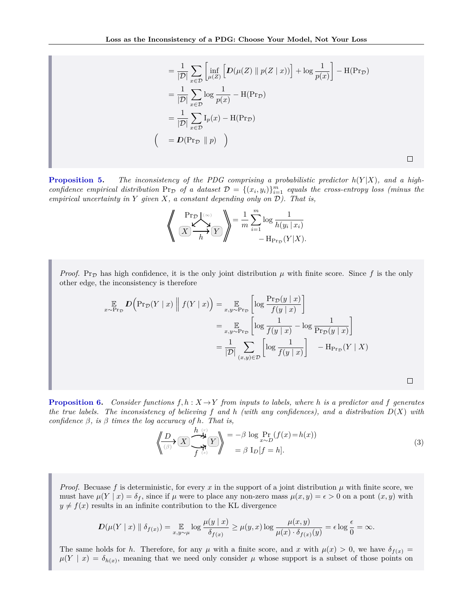$$
= \frac{1}{|\mathcal{D}|} \sum_{x \in \mathcal{D}} \left[ \inf_{\mu(Z)} \left[ D(\mu(Z) \parallel p(Z \mid x)) \right] + \log \frac{1}{p(x)} \right] - \mathcal{H}(\Pr_{\mathcal{D}})
$$
  
\n
$$
= \frac{1}{|\mathcal{D}|} \sum_{x \in \mathcal{D}} \log \frac{1}{p(x)} - \mathcal{H}(\Pr_{\mathcal{D}})
$$
  
\n
$$
= \frac{1}{|\mathcal{D}|} \sum_{x \in \mathcal{D}} \mathcal{I}_{p}(x) - \mathcal{H}(\Pr_{\mathcal{D}})
$$
  
\n
$$
\left( = D(\Pr_{\mathcal{D}} \parallel p) \right)
$$

 $\Box$ 

 $\Box$ 

**[Proposition 5.](#page-3-3)** The inconsistency of the PDG comprising a probabilistic predictor  $h(Y|X)$ , and a high*confidence empirical distribution*  $Pr_{\mathcal{D}}$  *of a dataset*  $\mathcal{D} = \{(x_i, y_i)\}_{i=1}^m$  *equals the cross-entropy loss (minus the empirical uncertainty in Y given X, a constant depending only on* D*). That is,*

$$
\left\langle \frac{\Pr_D(\infty)}{X \longrightarrow B} \right\rangle = \frac{1}{m} \sum_{i=1}^m \log \frac{1}{h(y_i \mid x_i)}
$$

$$
- H_{\Pr_D}(Y \mid X).
$$

*Proof.* Pr<sub>D</sub> has high confidence, it is the only joint distribution  $\mu$  with finite score. Since f is the only other edge, the inconsistency is therefore

$$
\mathbb{E}_{x \sim \Pr_{\mathcal{D}}} D\Big(\Pr_{\mathcal{D}}(Y \mid x) \parallel f(Y \mid x)\Big) = \mathbb{E}_{x, y \sim \Pr_{\mathcal{D}}} \left[ \log \frac{\Pr_{\mathcal{D}}(y \mid x)}{f(y \mid x)} \right]
$$
\n
$$
= \mathbb{E}_{x, y \sim \Pr_{\mathcal{D}}} \left[ \log \frac{1}{f(y \mid x)} - \log \frac{1}{\Pr_{\mathcal{D}}(y \mid x)} \right]
$$
\n
$$
= \frac{1}{|\mathcal{D}|} \sum_{(x, y) \in \mathcal{D}} \left[ \log \frac{1}{f(y \mid x)} \right] - \text{H}_{\Pr_{\mathcal{D}}}(Y \mid X)
$$

**[Proposition 6.](#page-3-1)** *Consider functions*  $f, h: X \to Y$  *from inputs to labels, where h is a predictor and*  $f$  *generates the true labels. The inconsistency of believing f and h (with any confidences), and a distribution D*(*X*) *with confidence β, is β times the log accuracy of h. That is,*

$$
\left\langle \underbrace{D}_{(\beta)} \right\langle \underbrace{X}_{f^{(s)}} \underbrace{D}_{s} \underbrace{Y}_{f^{(s)}} \right\rangle = -\beta \log \Pr_{x \sim D} (f(x) = h(x))
$$
\n
$$
= \beta \operatorname{I}_{D} [f = h].
$$
\n(3)

*Proof.* Becuase f is deterministic, for every  $x$  in the support of a joint distribution  $\mu$  with finite score, we must have  $\mu(Y | x) = \delta_f$ , since if  $\mu$  were to place any non-zero mass  $\mu(x, y) = \epsilon > 0$  on a pont  $(x, y)$  with  $y \neq f(x)$  results in an infinite contribution to the KL divergence

$$
D(\mu(Y \mid x) \parallel \delta_{f(x)}) = \mathop{\mathbb{E}}_{x,y \sim \mu} \log \frac{\mu(y \mid x)}{\delta_{f(x)}} \ge \mu(y,x) \log \frac{\mu(x,y)}{\mu(x) \cdot \delta_{f(x)}(y)} = \epsilon \log \frac{\epsilon}{0} = \infty.
$$

The same holds for *h*. Therefore, for any  $\mu$  with a finite score, and *x* with  $\mu(x) > 0$ , we have  $\delta_{f(x)} =$  $\mu(Y \mid x) = \delta_{h(x)}$ , meaning that we need only consider  $\mu$  whose support is a subset of those points on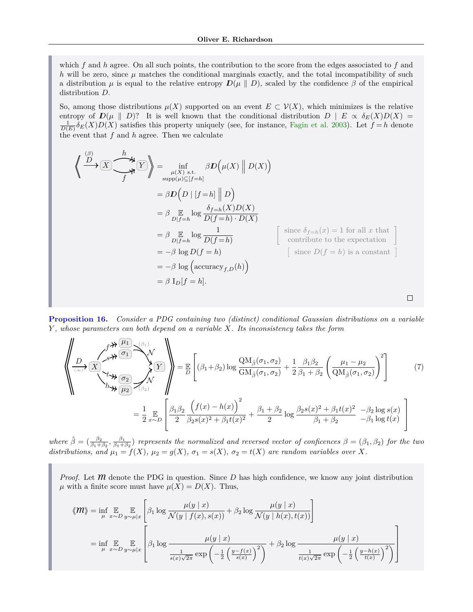which *f* and *h* agree. On all such points, the contribution to the score from the edges associated to *f* and *h* will be zero, since  $\mu$  matches the conditional marginals exactly, and the total incompatibility of such a distribution  $\mu$  is equal to the relative entropy  $D(\mu || D)$ , scaled by the confidence  $\beta$  of the empirical distribution *D*.

So, among those distributions  $\mu(X)$  supported on an event  $E \subset \mathcal{V}(X)$ , which minimizes is the relative entropy of  $D(\mu \parallel D)$ ? It is well known that the conditional distribution  $D \parallel E \propto \delta_E(X)D(X)$  $\frac{1}{D(E)}\delta_E(X)D(X)$  satisfies this property uniquely (see, for instance, [Fagin et al. 2003\)](#page-9-24). Let  $f = h$  denote the event that *f* and *h* agree. Then we calculate

$$
\left\langle \bigoplus_{j=1}^{n} \mathbb{E} \left\{ \bigoplus_{\substack{\mu(X) \text{ s.t. } \\ \mu(Y) = h \pmod{p}}} \beta D(\mu(X) \mid D(X)) \right\} \right\}
$$
\n
$$
= \beta D(D \mid [f = h] \mid D)
$$
\n
$$
= \beta \mathbb{E} \log \frac{\delta_{f=h}(X)D(X)}{D(f = h) \cdot D(X)}
$$
\n
$$
= \beta \mathbb{E} \log \frac{1}{D(f = h)}
$$
\n
$$
= -\beta \log D(f = h)
$$
\n
$$
= -\beta \log \left( \arctan y_{f,D}(h) \right)
$$
\n
$$
= \beta \mathbb{I}_{D}[f = h].
$$
\n
$$
\beta \log f = h
$$
\n
$$
\beta \log f = h
$$
\n
$$
\beta \log f = h
$$
\n
$$
\beta \log f = h
$$
\n
$$
\beta \log f = h
$$
\n
$$
\beta \log f = h
$$

**[Proposition 16.](#page-11-2)** *Consider a PDG containing two (distinct) conditional Gaussian distributions on a variable Y , whose parameters can both depend on a variable X. Its inconsistency takes the form*

$$
\left\langle \frac{\partial}{\partial t} \frac{\partial}{\partial t} \frac{\partial}{\partial t} \frac{\partial}{\partial t} \frac{\partial}{\partial t} \frac{\partial}{\partial t} \frac{\partial}{\partial t} \right\rangle_{(3)} = \frac{\pi}{2} \left[ (\beta_1 + \beta_2) \log \frac{QM_{\hat{\beta}}(\sigma_1, \sigma_2)}{GM_{\hat{\beta}}(\sigma_1, \sigma_2)} + \frac{1}{2} \frac{\beta_1 \beta_2}{\beta_1 + \beta_2} \left( \frac{\mu_1 - \mu_2}{QM_{\hat{\beta}}(\sigma_1, \sigma_2)} \right)^2 \right] \tag{7}
$$
\n
$$
= \frac{1}{2} \mathop{\mathbb{E}}_{x \sim D} \left[ \frac{\beta_1 \beta_2}{2} \frac{\left( f(x) - h(x) \right)^2}{\beta_2 s(x)^2 + \beta_1 t(x)^2} + \frac{\beta_1 + \beta_2}{2} \log \frac{\beta_2 s(x)^2 + \beta_1 t(x)^2}{\beta_1 + \beta_2} - \beta_2 \log s(x) \right]
$$

 $\hat{\beta} = (\frac{\beta_2}{\beta_1 + \beta_2}, \frac{\beta_1}{\beta_1 + \beta_2})$  *represents the normalized and reversed vector of conficences*  $\beta = (\beta_1, \beta_2)$  *for the two distributions, and*  $\mu_1 = f(X)$ *,*  $\mu_2 = g(X)$ *,*  $\sigma_1 = s(X)$ *,*  $\sigma_2 = t(X)$  are random variables over X.

*Proof.* Let  $\hat{m}$  denote the PDG in question. Since  $D$  has high confidence, we know any joint distribution  $\mu$  with a finite score must have  $\mu(X) = D(X)$ . Thus,

$$
\langle \mathbf{M} \rangle = \inf_{\mu} \mathop{\mathbb{E}}_{x \sim D} \mathop{\mathbb{E}}_{y \sim \mu |x} \left[ \beta_1 \log \frac{\mu(y | x)}{\mathcal{N}(y | f(x), s(x))} + \beta_2 \log \frac{\mu(y | x)}{\mathcal{N}(y | h(x), t(x))} \right]
$$
  
= 
$$
\inf_{\mu} \mathop{\mathbb{E}}_{x \sim D} \mathop{\mathbb{E}}_{y \sim \mu |x} \left[ \beta_1 \log \frac{\mu(y | x)}{\frac{1}{s(x)\sqrt{2\pi}} \exp\left(-\frac{1}{2} \left(\frac{y - f(x)}{s(x)}\right)^2\right)} + \beta_2 \log \frac{\mu(y | x)}{\frac{1}{t(x)\sqrt{2\pi}} \exp\left(-\frac{1}{2} \left(\frac{y - h(x)}{t(x)}\right)^2\right)} \right]
$$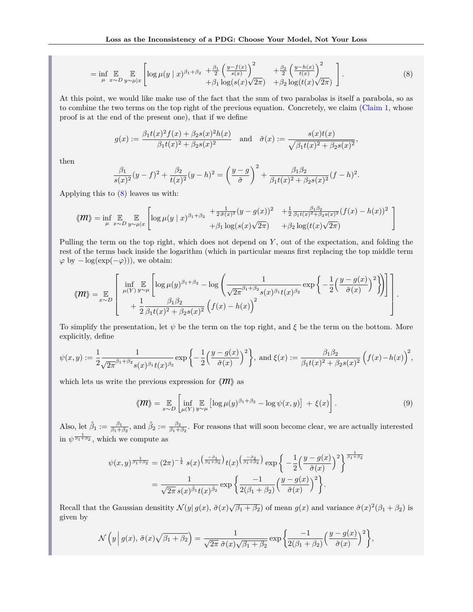$$
= \inf_{\mu} \mathop{\mathbb{E}}_{x \sim D} \mathop{\mathbb{E}}_{y \sim \mu |x} \left[ \log \mu(y | x)^{\beta_1 + \beta_2} + \frac{\beta_1}{2} \left( \frac{y - f(x)}{s(x)} \right)^2 + \frac{\beta_2}{2} \left( \frac{y - h(x)}{t(x)} \right)^2 + \beta_1 \log(s(x) \sqrt{2\pi}) + \beta_2 \log(t(x) \sqrt{2\pi}) \right]. \tag{8}
$$

At this point, we would like make use of the fact that the sum of two parabolas is itself a parabola, so as to combine the two terms on the top right of the previous equation. Concretely, we claim [\(Claim 1,](#page-19-0) whose proof is at the end of the present one), that if we define

<span id="page-17-0"></span>
$$
g(x) := \frac{\beta_1 t(x)^2 f(x) + \beta_2 s(x)^2 h(x)}{\beta_1 t(x)^2 + \beta_2 s(x)^2} \quad \text{and} \quad \tilde{\sigma}(x) := \frac{s(x)t(x)}{\sqrt{\beta_1 t(x)^2 + \beta_2 s(x)^2}},
$$

then

$$
\frac{\beta_1}{s(x)^2}(y-f)^2 + \frac{\beta_2}{t(x)^2}(y-h)^2 = \left(\frac{y-g}{\tilde{\sigma}}\right)^2 + \frac{\beta_1\beta_2}{\beta_1t(x)^2 + \beta_2s(x)^2}(f-h)^2.
$$

Applying this to [\(8\)](#page-17-0) leaves us with:

$$
\langle \mathbf{M} \rangle = \inf_{\mu} \mathop{\mathbb{E}}_{x \sim D} \mathop{\mathbb{E}}_{y \sim \mu |x} \left[ \log \mu (y | x)^{\beta_1 + \beta_2} \frac{1}{2 \tilde{\sigma}(x)^2} (y - g(x))^2 + \frac{1}{2} \frac{\beta_1 \beta_2}{\beta_1 t(x)^2 + \beta_2 s(x)^2} (f(x) - h(x))^2 + \beta_1 \log(s(x) \sqrt{2\pi}) + \beta_2 \log(t(x) \sqrt{2\pi}) \right]
$$

Pulling the term on the top right, which does not depend on *Y* , out of the expectation, and folding the rest of the terms back inside the logarithm (which in particular means first replacing the top middle term  $\varphi$  by  $-\log(\exp(-\varphi))$ , we obtain:

$$
\langle\!\langle m\rangle\!\rangle = \mathop{\mathbb{E}}_{x \sim D} \left[ \begin{array}{c} \inf_{\mu(Y)} \mathop{\mathbb{E}}_{y \sim \mu} \left[ \log \mu(y)^{\beta_1 + \beta_2} - \log \left( \frac{1}{\sqrt{2\pi}^{\beta_1 + \beta_2} s(x)^{\beta_1} t(x)^{\beta_2}} \exp \left\{ -\frac{1}{2} \left( \frac{y - g(x)}{\tilde{\sigma}(x)} \right)^2 \right\} \right) + \frac{1}{2} \frac{\beta_1 \beta_2}{\beta_1 t(x)^2 + \beta_2 s(x)^2} \left( f(x) - h(x) \right)^2 \end{array} \right].
$$

To simplify the presentation, let *ψ* be the term on the top right, and *ξ* be the term on the bottom. More explicitly, define

$$
\psi(x,y) := \frac{1}{2} \frac{1}{\sqrt{2\pi}^{\beta_1 + \beta_2} s(x)^{\beta_1} t(x)^{\beta_2}} \exp\left\{-\frac{1}{2} \left(\frac{y - g(x)}{\tilde{\sigma}(x)}\right)^2\right\}, \text{ and } \xi(x) := \frac{\beta_1 \beta_2}{\beta_1 t(x)^2 + \beta_2 s(x)^2} \left(f(x) - h(x)\right)^2,
$$

which lets us write the previous expression for  $\langle m \rangle$  as

<span id="page-17-1"></span>
$$
\langle \!\langle \mathcal{M} \rangle\!\rangle = \mathop{\mathbb{E}}_{x \sim D} \left[ \inf_{\mu(Y)} \mathop{\mathbb{E}}_{y \sim \mu} \left[ \log \mu(y)^{\beta_1 + \beta_2} - \log \psi(x, y) \right] + \xi(x) \right]. \tag{9}
$$

Also, let  $\hat{\beta}_1 := \frac{\beta_1}{\beta_1 + \beta_2}$ , and  $\hat{\beta}_2 := \frac{\beta_2}{\beta_1 + \beta_2}$ . For reasons that will soon become clear, we are actually interested in  $\psi^{\frac{1}{\beta_1+\beta_2}}$ , which we compute as

$$
\psi(x,y)^{\frac{1}{\beta_1+\beta_2}} = (2\pi)^{-\frac{1}{2}} s(x)^{\left(\frac{-\beta_1}{\beta_1+\beta_2}\right)} t(x)^{\left(\frac{-\beta_2}{\beta_1+\beta_2}\right)} \exp\left\{-\frac{1}{2}\left(\frac{y-g(x)}{\tilde{\sigma}(x)}\right)^2\right\}^{\frac{1}{\beta_1+\beta_2}}
$$

$$
= \frac{1}{\sqrt{2\pi} s(x)^{\beta_1} t(x)^{\beta_2}} \exp\left\{\frac{-1}{2(\beta_1+\beta_2)}\left(\frac{y-g(x)}{\tilde{\sigma}(x)}\right)^2\right\}.
$$

Recall that the Gaussian densitity  $\mathcal{N}(y \mid g(x), \tilde{\sigma}(x) \sqrt{\beta_1 + \beta_2})$  of mean  $g(x)$  and variance  $\tilde{\sigma}(x)^2(\beta_1 + \beta_2)$  is given by

$$
\mathcal{N}\left(y\,\Big|\,g(x),\,\tilde{\sigma}(x)\sqrt{\beta_1+\beta_2}\right)=\frac{1}{\sqrt{2\pi}\,\tilde{\sigma}(x)\sqrt{\beta_1+\beta_2}}\exp\left\{\frac{-1}{2(\beta_1+\beta_2)}\left(\frac{y-g(x)}{\tilde{\sigma}(x)}\right)^2\right\},\,
$$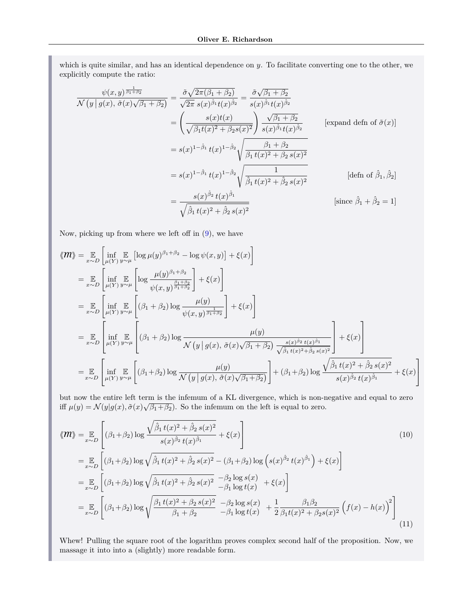which is quite similar, and has an identical dependence on *y*. To facilitate converting one to the other, we explicitly compute the ratio:

$$
\frac{\psi(x,y)^{\frac{1}{\beta_{1}+\beta_{2}}}}{\mathcal{N}(y|g(x),\tilde{\sigma}(x)\sqrt{\beta_{1}+\beta_{2}})} = \frac{\tilde{\sigma}\sqrt{2\pi(\beta_{1}+\beta_{2})}}{\sqrt{2\pi} s(x)^{\hat{\beta}_{1}}t(x)^{\hat{\beta}_{2}}} = \frac{\tilde{\sigma}\sqrt{\beta_{1}+\beta_{2}}}{s(x)^{\hat{\beta}_{1}}t(x)^{\hat{\beta}_{2}}}
$$
\n
$$
= \left(\frac{s(x)t(x)}{\sqrt{\beta_{1}t(x)^{2}+\beta_{2}s(x)^{2}}}\right) \frac{\sqrt{\beta_{1}+\beta_{2}}}{s(x)^{\hat{\beta}_{1}}t(x)^{\hat{\beta}_{2}}}
$$
\n[expand defn of  $\tilde{\sigma}(x)$ ]  
\n
$$
= s(x)^{1-\hat{\beta}_{1}} t(x)^{1-\hat{\beta}_{2}} \sqrt{\frac{\beta_{1}+\beta_{2}}{\beta_{1}t(x)^{2}+\beta_{2}s(x)^{2}}}
$$
\n
$$
= s(x)^{1-\hat{\beta}_{1}} t(x)^{1-\hat{\beta}_{2}} \sqrt{\frac{\frac{\beta_{1}+\beta_{2}}{\beta_{1}t(x)^{2}+\beta_{2}s(x)^{2}}}{\hat{\beta}_{1}t(x)^{2}+\hat{\beta}_{2}s(x)^{2}}}
$$
\n[defn of  $\hat{\beta}_{1},\hat{\beta}_{2}$ ]  
\n
$$
= \frac{s(x)^{\hat{\beta}_{2}} t(x)^{\hat{\beta}_{1}}}{\sqrt{\hat{\beta}_{1}t(x)^{2}+\hat{\beta}_{2}s(x)^{2}}}
$$
\n[since  $\hat{\beta}_{1} + \hat{\beta}_{2} = 1$ ]

Now, picking up from where we left off in [\(9\)](#page-17-1), we have

$$
\langle \mathbf{M} \rangle = \mathbb{E}_{x \sim D} \left[ \inf_{\mu(Y)} \mathbb{E}_{y \sim \mu} \left[ \log \mu(y)^{\beta_1 + \beta_2} - \log \psi(x, y) \right] + \xi(x) \right]
$$
  
\n
$$
= \mathbb{E}_{x \sim D} \left[ \inf_{\mu(Y)} \mathbb{E}_{y \sim \mu} \left[ \log \frac{\mu(y)^{\beta_1 + \beta_2}}{\psi(x, y)^{\frac{\beta_1 + \beta_2}{\beta_1 + \beta_2}}} \right] + \xi(x) \right]
$$
  
\n
$$
= \mathbb{E}_{x \sim D} \left[ \inf_{\mu(Y)} \mathbb{E}_{y \sim \mu} \left[ (\beta_1 + \beta_2) \log \frac{\mu(y)}{\psi(x, y)^{\frac{1}{\beta_1 + \beta_2}}} \right] + \xi(x) \right]
$$
  
\n
$$
= \mathbb{E}_{x \sim D} \left[ \inf_{\mu(Y)} \mathbb{E}_{y \sim \mu} \left[ (\beta_1 + \beta_2) \log \frac{\mu(y)}{\mathcal{N}(y | g(x), \tilde{\sigma}(x) \sqrt{\beta_1 + \beta_2})} \frac{\xi(x)^{\beta_2} t(x)^{\beta_1}}{\sqrt{\beta_1 t(x)^2 + \beta_2 s(x)^2}} \right] + \xi(x) \right]
$$
  
\n
$$
= \mathbb{E}_{x \sim D} \left[ \inf_{\mu(Y)} \mathbb{E}_{y \sim \mu} \left[ (\beta_1 + \beta_2) \log \frac{\mu(y)}{\mathcal{N}(y | g(x), \tilde{\sigma}(x) \sqrt{\beta_1 + \beta_2})} \right] + (\beta_1 + \beta_2) \log \frac{\sqrt{\beta_1 t(x)^2 + \beta_2 s(x)^2}}{s(x)^{\beta_2} t(x)^{\beta_1}} + \xi(x) \right]
$$

but now the entire left term is the infemum of a KL divergence, which is non-negative and equal to zero iff  $\mu(y) = \mathcal{N}(y|g(x), \tilde{\sigma}(x)\sqrt{\beta_1 + \beta_2})$ . So the infemum on the left is equal to zero.

<span id="page-18-0"></span>
$$
\langle \mathbf{M} \rangle = \mathbb{E}_{x \sim D} \left[ (\beta_1 + \beta_2) \log \frac{\sqrt{\hat{\beta}_1 t(x)^2 + \hat{\beta}_2 s(x)^2}}{s(x)^{\hat{\beta}_2} t(x)^{\hat{\beta}_1}} + \xi(x) \right]
$$
\n
$$
= \mathbb{E}_{x \sim D} \left[ (\beta_1 + \beta_2) \log \sqrt{\hat{\beta}_1 t(x)^2 + \hat{\beta}_2 s(x)^2} - (\beta_1 + \beta_2) \log \left( s(x)^{\hat{\beta}_2} t(x)^{\hat{\beta}_1} \right) + \xi(x) \right]
$$
\n
$$
= \mathbb{E}_{x \sim D} \left[ (\beta_1 + \beta_2) \log \sqrt{\hat{\beta}_1 t(x)^2 + \hat{\beta}_2 s(x)^2} - \beta_2 \log s(x) + \xi(x) \right]
$$
\n
$$
= \mathbb{E}_{x \sim D} \left[ (\beta_1 + \beta_2) \log \sqrt{\frac{\beta_1 t(x)^2 + \beta_2 s(x)^2}{\beta_1 + \beta_2}} - \beta_2 \log s(x) + \frac{1}{2} \frac{\beta_1 \beta_2}{\beta_1 t(x)^2 + \beta_2 s(x)^2} \left( f(x) - h(x) \right)^2 \right]
$$
\n
$$
= \mathbb{E}_{x \sim D} \left[ (\beta_1 + \beta_2) \log \sqrt{\frac{\beta_1 t(x)^2 + \beta_2 s(x)^2}{\beta_1 + \beta_2}} - \beta_1 \log t(x) + \frac{1}{2} \frac{\beta_1 \beta_2}{\beta_1 t(x)^2 + \beta_2 s(x)^2} \left( f(x) - h(x) \right)^2 \right]
$$
\n(11)

Whew! Pulling the square root of the logarithm proves complex second half of the proposition. Now, we massage it into into a (slightly) more readable form.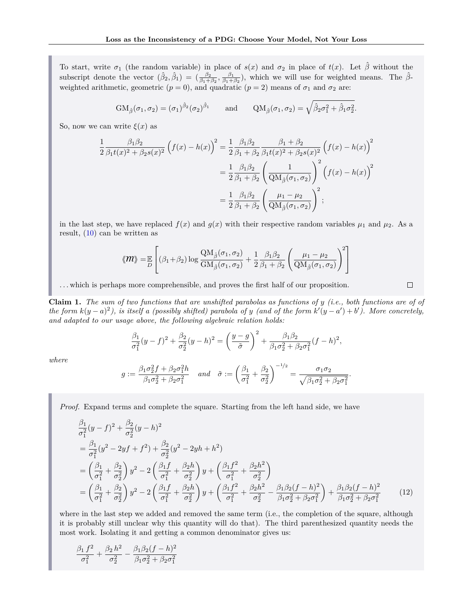To start, write  $\sigma_1$  (the random variable) in place of  $s(x)$  and  $\sigma_2$  in place of  $t(x)$ . Let  $\hat{\beta}$  without the subscript denote the vector  $(\hat{\beta}_2, \hat{\beta}_1) = (\frac{\beta_2}{\beta_1 + \beta_2}, \frac{\beta_1}{\beta_1 + \beta_2})$ , which we will use for weighted means. The  $\hat{\beta}$ weighted arithmetic, geometric  $(p = 0)$ , and quadratic  $(p = 2)$  means of  $\sigma_1$  and  $\sigma_2$  are:

$$
GM_{\hat{\beta}}(\sigma_1, \sigma_2) = (\sigma_1)^{\hat{\beta}_2}(\sigma_2)^{\hat{\beta}_1} \quad \text{and} \quad QM_{\hat{\beta}}(\sigma_1, \sigma_2) = \sqrt{\hat{\beta}_2 \sigma_1^2 + \hat{\beta}_1 \sigma_2^2}.
$$

So, now we can write  $\xi(x)$  as

$$
\frac{1}{2} \frac{\beta_1 \beta_2}{\beta_1 t(x)^2 + \beta_2 s(x)^2} \left( f(x) - h(x) \right)^2 = \frac{1}{2} \frac{\beta_1 \beta_2}{\beta_1 + \beta_2} \frac{\beta_1 + \beta_2}{\beta_1 t(x)^2 + \beta_2 s(x)^2} \left( f(x) - h(x) \right)^2
$$

$$
= \frac{1}{2} \frac{\beta_1 \beta_2}{\beta_1 + \beta_2} \left( \frac{1}{\mathcal{Q}M_{\hat{\beta}}(\sigma_1, \sigma_2)} \right)^2 \left( f(x) - h(x) \right)^2
$$

$$
= \frac{1}{2} \frac{\beta_1 \beta_2}{\beta_1 + \beta_2} \left( \frac{\mu_1 - \mu_2}{\mathcal{Q}M_{\hat{\beta}}(\sigma_1, \sigma_2)} \right)^2;
$$

in the last step, we have replaced  $f(x)$  and  $g(x)$  with their respective random variables  $\mu_1$  and  $\mu_2$ . As a result, [\(10\)](#page-18-0) can be written as

$$
\langle \hspace{-2.5pt} m \rangle \hspace{-2.5pt} \rangle = \hspace{-2.5pt} \mathbb{E}\left[ (\beta_1 + \beta_2) \log \frac{\mathrm{QM}_\beta(\sigma_1, \sigma_2)}{\mathrm{GM}_\beta(\sigma_1, \sigma_2)} + \frac{1}{2} \frac{\beta_1 \beta_2}{\beta_1 + \beta_2} \left( \frac{\mu_1 - \mu_2}{\mathrm{QM}_\beta(\sigma_1, \sigma_2)} \right)^2 \right]
$$

. . . which is perhaps more comprehensible, and proves the first half of our proposition.

<span id="page-19-0"></span>**Claim 1.** *The sum of two functions that are unshifted parabolas as functions of y (i.e., both functions are of of the form*  $k(y - a)^2$ , is itself a (possibly shifted) parabola of y (and of the form  $k'(y - a') + b'$ ). More concretely, *and adapted to our usage above, the following algebraic relation holds:*

<span id="page-19-1"></span> $\Box$ 

$$
\frac{\beta_1}{\sigma_1^2}(y-f)^2 + \frac{\beta_2}{\sigma_2^2}(y-h)^2 = \left(\frac{y-g}{\tilde{\sigma}}\right)^2 + \frac{\beta_1\beta_2}{\beta_1\sigma_2^2 + \beta_2\sigma_1^2}(f-h)^2,
$$

*where*

$$
g := \frac{\beta_1 \sigma_2^2 f + \beta_2 \sigma_1^2 h}{\beta_1 \sigma_2^2 + \beta_2 \sigma_1^2} \quad \text{and} \quad \tilde{\sigma} := \left(\frac{\beta_1}{\sigma_1^2} + \frac{\beta_2}{\sigma_2^2}\right)^{-1/2} = \frac{\sigma_1 \sigma_2}{\sqrt{\beta_1 \sigma_2^2 + \beta_2 \sigma_1^2}}.
$$

*Proof.* Expand terms and complete the square. Starting from the left hand side, we have

$$
\frac{\beta_1}{\sigma_1^2} (y - f)^2 + \frac{\beta_2}{\sigma_2^2} (y - h)^2
$$
\n
$$
= \frac{\beta_1}{\sigma_1^2} (y^2 - 2yf + f^2) + \frac{\beta_2}{\sigma_2^2} (y^2 - 2yh + h^2)
$$
\n
$$
= \left(\frac{\beta_1}{\sigma_1^2} + \frac{\beta_2}{\sigma_2^2}\right) y^2 - 2 \left(\frac{\beta_1 f}{\sigma_1^2} + \frac{\beta_2 h}{\sigma_2^2}\right) y + \left(\frac{\beta_1 f^2}{\sigma_1^2} + \frac{\beta_2 h^2}{\sigma_2^2}\right)
$$
\n
$$
= \left(\frac{\beta_1}{\sigma_1^2} + \frac{\beta_2}{\sigma_2^2}\right) y^2 - 2 \left(\frac{\beta_1 f}{\sigma_1^2} + \frac{\beta_2 h}{\sigma_2^2}\right) y + \left(\frac{\beta_1 f^2}{\sigma_1^2} + \frac{\beta_2 h^2}{\sigma_2^2} - \frac{\beta_1 \beta_2 (f - h)^2}{\beta_1 \sigma_2^2 + \beta_2 \sigma_1^2}\right) + \frac{\beta_1 \beta_2 (f - h)^2}{\beta_1 \sigma_2^2 + \beta_2 \sigma_1^2} \tag{12}
$$

where in the last step we added and removed the same term (i.e., the completion of the square, although it is probably still unclear why this quantity will do that). The third parenthesized quantity needs the most work. Isolating it and getting a common denominator gives us:

$$
\frac{\beta_1 f^2}{\sigma_1^2} + \frac{\beta_2 h^2}{\sigma_2^2} - \frac{\beta_1 \beta_2 (f - h)^2}{\beta_1 \sigma_2^2 + \beta_2 \sigma_1^2}
$$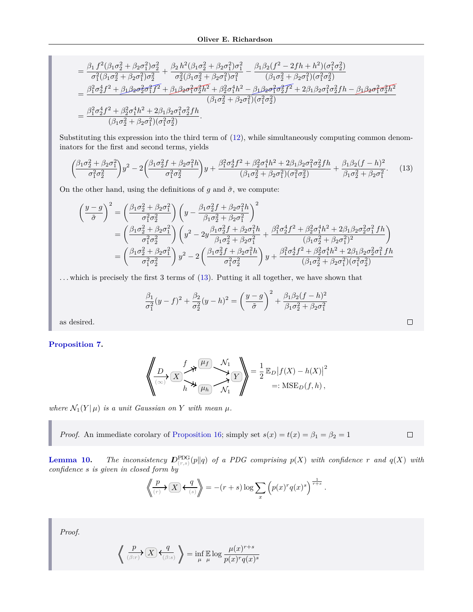$$
= \frac{\beta_1 f^2(\beta_1 \sigma_2^2 + \beta_2 \sigma_1^2) \sigma_2^2}{\sigma_1^2(\beta_1 \sigma_2^2 + \beta_2 \sigma_1^2) \sigma_2^2} + \frac{\beta_2 h^2(\beta_1 \sigma_2^2 + \beta_2 \sigma_1^2) \sigma_1^2}{\sigma_2^2(\beta_1 \sigma_2^2 + \beta_2 \sigma_1^2) \sigma_1^2} - \frac{\beta_1 \beta_2 (f^2 - 2fh + h^2)(\sigma_1^2 \sigma_2^2)}{(\beta_1 \sigma_2^2 + \beta_2 \sigma_1^2)(\sigma_1^2 \sigma_2^2)}
$$
  
\n
$$
= \frac{\beta_1^2 \sigma_2^4 f^2 + \beta_1 \beta_2 \sigma_2^2 \sigma_1^2 f^2 + \beta_1 \beta_2 \sigma_1^2 \sigma_2^2 h^2 + \beta_2^2 \sigma_1^4 h^2 - \beta_1 \beta_2 \sigma_1^2 \sigma_2^2 f^2 + 2\beta_1 \beta_2 \sigma_1^2 \sigma_2^2 fh - \beta_1 \beta_2 \sigma_1^2 \sigma_2^2 h^2}{(\beta_1 \sigma_2^2 + \beta_2 \sigma_1^2)(\sigma_1^2 \sigma_2^2)}
$$
  
\n
$$
= \frac{\beta_1^2 \sigma_2^4 f^2 + \beta_2^2 \sigma_1^4 h^2 + 2\beta_1 \beta_2 \sigma_1^2 \sigma_2^2 fh}{(\beta_1 \sigma_2^2 + \beta_2 \sigma_1^2)(\sigma_1^2 \sigma_2^2)}.
$$

Substituting this expression into the third term of [\(12\)](#page-19-1), while simultaneously computing common denominators for the first and second terms, yields

<span id="page-20-0"></span>
$$
\left(\frac{\beta_1\sigma_2^2 + \beta_2\sigma_1^2}{\sigma_1^2\sigma_2^2}\right)y^2 - 2\left(\frac{\beta_1\sigma_2^2f + \beta_2\sigma_1^2h}{\sigma_1^2\sigma_2^2}\right)y + \frac{\beta_1^2\sigma_2^4f^2 + \beta_2^2\sigma_1^4h^2 + 2\beta_1\beta_2\sigma_1^2\sigma_2^2fh}{(\beta_1\sigma_2^2 + \beta_2\sigma_1^2)(\sigma_1^2\sigma_2^2)} + \frac{\beta_1\beta_2(f-h)^2}{\beta_1\sigma_2^2 + \beta_2\sigma_1^2}.\tag{13}
$$

On the other hand, using the definitions of *g* and  $\tilde{\sigma}$ , we compute:

$$
\begin{split} \left(\frac{y-g}{\tilde{\sigma}}\right)^{2} &= \left(\frac{\beta_{1}\sigma_{2}^{2}+\beta_{2}\sigma_{1}^{2}}{\sigma_{1}^{2}\sigma_{2}^{2}}\right)\left(y-\frac{\beta_{1}\sigma_{2}^{2}f+\beta_{2}\sigma_{1}^{2}h}{\beta_{1}\sigma_{2}^{2}+\beta_{2}\sigma_{1}^{2}}\right)^{2} \\ &= \left(\frac{\beta_{1}\sigma_{2}^{2}+\beta_{2}\sigma_{1}^{2}}{\sigma_{1}^{2}\sigma_{2}^{2}}\right)\left(y^{2}-2y\frac{\beta_{1}\sigma_{2}^{2}f+\beta_{2}\sigma_{1}^{2}h}{\beta_{1}\sigma_{2}^{2}+\beta_{2}\sigma_{1}^{2}}+\frac{\beta_{1}^{2}\sigma_{2}^{4}f^{2}+\beta_{2}^{2}\sigma_{1}^{4}h^{2}+2\beta_{1}\beta_{2}\sigma_{2}^{2}\sigma_{1}^{2}fh}{(\beta_{1}\sigma_{2}^{2}+\beta_{2}\sigma_{1}^{2})^{2}}\right) \\ &= \left(\frac{\beta_{1}\sigma_{2}^{2}+\beta_{2}\sigma_{1}^{2}}{\sigma_{1}^{2}\sigma_{2}^{2}}\right)y^{2}-2\left(\frac{\beta_{1}\sigma_{2}^{2}f+\beta_{2}\sigma_{1}^{2}h}{\sigma_{1}^{2}\sigma_{2}^{2}}\right)y+\frac{\beta_{1}^{2}\sigma_{2}^{4}f^{2}+\beta_{2}^{2}\sigma_{1}^{4}h^{2}+2\beta_{1}\beta_{2}\sigma_{2}^{2}\sigma_{1}^{2}fh}{(\beta_{1}\sigma_{2}^{2}+\beta_{2}\sigma_{1}^{2})(\sigma_{1}^{2}\sigma_{2}^{2})} \end{split}
$$

. . . which is precisely the first 3 terms of [\(13\)](#page-20-0). Putting it all together, we have shown that

$$
\frac{\beta_1}{\sigma_1^2}(y-f)^2 + \frac{\beta_2}{\sigma_2^2}(y-h)^2 = \left(\frac{y-g}{\tilde{\sigma}}\right)^2 + \frac{\beta_1\beta_2(f-h)^2}{\beta_1\sigma_2^2 + \beta_2\sigma_1^2}
$$

as desired.

### **[Proposition 7.](#page-3-5)**

$$
\left\langle \underbrace{\frac{D}{\langle \infty \rangle} \left( X \right)^f \mathcal{M}}_{h} \underbrace{\frac{\mu_f}{\mu_h} \mathcal{M}_1}_{\mathcal{N}_1} \right\rangle = \frac{1}{2} \mathbb{E}_D \big| f(X) - h(X) \big|^2
$$
  
=: MSE<sub>D</sub>(f,h),

*where*  $\mathcal{N}_1(Y|\mu)$  *is a unit Gaussian on Y with mean*  $\mu$ *.* 

⟨

*Proof.* An immediate corolary of [Proposition 16;](#page-11-2) simply set  $s(x) = t(x) = \beta_1 = \beta_2 = 1$ 

 $\Box$ 

**[Lemma 10.](#page-4-3)** *The inconsistency*  $D_{(r,s)}^{\text{PDG}}(p||q)$  *of a PDG comprising*  $p(X)$  *with confidence r and*  $q(X)$  *with confidence s is given in closed form by*

$$
\left\langle \!\!\!\left\langle \frac{p}{\scriptscriptstyle(r)}\right\rangle \sum_{s} \left\langle \frac{q}{\scriptscriptstyle(s)} \right\rangle \!\!\!\right\rangle = -(r+s)\log \sum_{x} \left( p(x)^r q(x)^s \right)^{\frac{1}{r+s}}.
$$

*Proof.*

$$
\bigg\langle\!\!\!\bigg\langle \textstyle\frac{p}{\scriptstyle(\beta:r)}\big\rangle\big(\overline{X}\big)\big\langle\!\!\bigg\langle \textstyle\frac{q}{\scriptstyle(\beta:s)}\bigg\rangle\!\!\!\bigg\rangle = \inf_{\mu} \mathop{\mathbb{E}}_{\mu} \log \frac{\mu(x)^{r+s}}{p(x)^r q(x)^s}
$$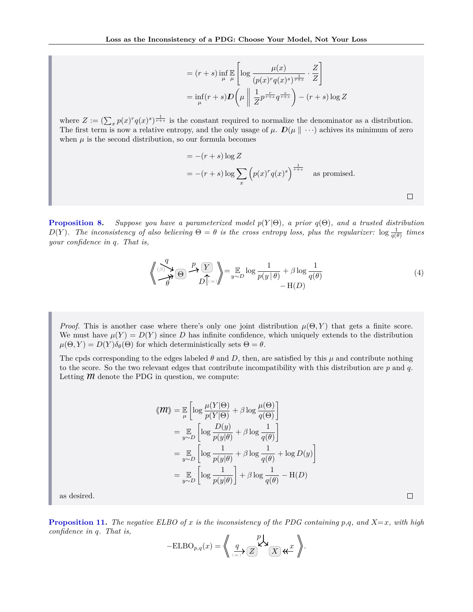$$
= (r+s) \inf_{\mu} \mathbb{E} \left[ \log \frac{\mu(x)}{(p(x)^r q(x)^s)^{\frac{1}{r+s}}} \cdot \frac{Z}{Z} \right]
$$

$$
= \inf_{\mu} (r+s) D\left(\mu \left\| \frac{1}{Z} p^{\frac{r}{r+s}} q^{\frac{s}{r+s}} \right) - (r+s) \log Z\right)
$$

where  $Z := (\sum_x p(x)^r q(x)^s)^{\frac{1}{r+s}}$  is the constant required to normalize the denominator as a distribution. The first term is now a relative entropy, and the only usage of  $\mu$ .  $D(\mu \| \cdots)$  achives its minimum of zero when  $\mu$  is the second distribution, so our formula becomes

$$
= -(r+s)\log Z
$$
  
= -(r+s)\log \sum\_{x} (p(x)^{r}q(x)^{s})^{\frac{1}{r+s}} \text{ as promised.}

**[Proposition 8.](#page-4-4)** Suppose you have a parameterized model  $p(Y|\Theta)$ , a prior  $q(\Theta)$ , and a trusted distribution  $D(Y)$ . The inconsistency of also believing  $\Theta = \theta$  is the cross entropy loss, plus the regularizer:  $\log \frac{1}{q(\theta)}$  times *your confidence in q. That is,*

$$
\left\langle \bigotimes_{\beta=0}^{q} \bigotimes_{\beta=0}^{q} \bigotimes_{D} \bigotimes_{\beta=0}^{p} \Big| \bigotimes_{y \sim D} \log \frac{1}{p(y|\theta)} + \beta \log \frac{1}{q(\theta)} - \mathcal{H}(D) \right\}
$$
(4)

 $\Box$ 

 $\Box$ 

*Proof.* This is another case where there's only one joint distribution  $\mu(\Theta, Y)$  that gets a finite score. We must have  $\mu(Y) = D(Y)$  since *D* has infinite confidence, which uniquely extends to the distribution  $\mu(\Theta, Y) = D(Y)\delta_{\theta}(\Theta)$  for which deterministically sets  $\Theta = \theta$ .

The cpds corresponding to the edges labeled  $\theta$  and *D*, then, are satisfied by this  $\mu$  and contribute nothing to the score. So the two relevant edges that contribute incompatibility with this distribution are *p* and *q*. Letting  *denote the PDG in question, we compute:* 

$$
\langle \mathbf{M} \rangle = \mathbb{E}_{\mu} \left[ \log \frac{\mu(Y|\Theta)}{p(Y|\Theta)} + \beta \log \frac{\mu(\Theta)}{q(\Theta)} \right]
$$
  
= 
$$
\mathbb{E}_{y \sim D} \left[ \log \frac{D(y)}{p(y|\theta)} + \beta \log \frac{1}{q(\theta)} \right]
$$
  
= 
$$
\mathbb{E}_{y \sim D} \left[ \log \frac{1}{p(y|\theta)} + \beta \log \frac{1}{q(\theta)} + \log D(y) \right]
$$
  
= 
$$
\mathbb{E}_{y \sim D} \left[ \log \frac{1}{p(y|\theta)} \right] + \beta \log \frac{1}{q(\theta)} - \text{H}(D)
$$

as desired.

**[Proposition 11.](#page-6-3)** The negative ELBO of x is the inconsistency of the PDG containing  $p,q$ , and  $X=x$ , with high *confidence in q. That is,*

$$
-\text{ELBO}_{p,q}(x) = \left\langle \left( \frac{q}{\langle \infty \rangle} \sum_{\alpha} \mathbf{X} \mathbf{X} \mathbf{X} \right) \right\rangle.
$$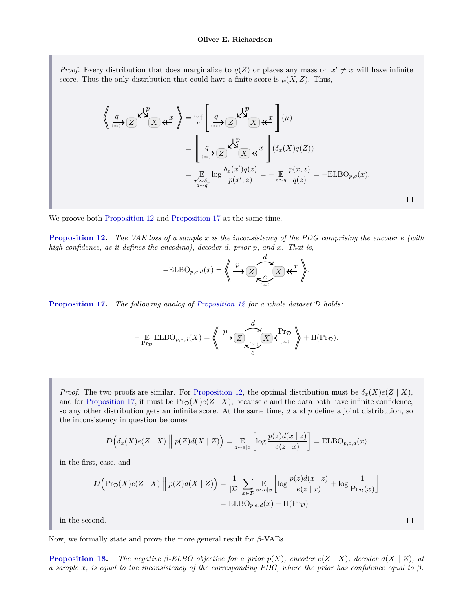*Proof.* Every distribution that does marginalize to  $q(Z)$  or places any mass on  $x' \neq x$  will have infinite score. Thus the only distribution that could have a finite score is  $\mu(X, Z)$ . Thus,

$$
\left\langle \underbrace{q}_{\langle \infty \rangle} \right\rangle \mathcal{Z} \stackrel{\bigtriangledown}{\longrightarrow} \mathcal{Z} \stackrel{\mathcal{P}}{\longrightarrow} \mathcal{Z} \stackrel{\mathcal{P}}{\longrightarrow} \mathcal{Z} \stackrel{\mathcal{P}}{\longrightarrow} \mathcal{Z} \stackrel{\mathcal{P}}{\longrightarrow} \mathcal{Z} \stackrel{\mathcal{P}}{\longrightarrow} \mathcal{Z} \stackrel{\mathcal{P}}{\longrightarrow} \mathcal{Z} \stackrel{\mathcal{P}}{\longrightarrow} \mathcal{Z} \stackrel{\mathcal{P}}{\longrightarrow} \mathcal{Z} \stackrel{\mathcal{P}}{\longrightarrow} \mathcal{Z} \stackrel{\mathcal{P}}{\longrightarrow} \mathcal{Z} \stackrel{\mathcal{P}}{\longrightarrow} \mathcal{Z} \stackrel{\mathcal{P}}{\longrightarrow} \mathcal{Z} \stackrel{\mathcal{P}}{\longrightarrow} \mathcal{Z} \stackrel{\mathcal{P}}{\longrightarrow} \mathcal{Z} \stackrel{\mathcal{P}}{\longrightarrow} \mathcal{Z} \stackrel{\mathcal{P}}{\longrightarrow} \mathcal{Z} \stackrel{\mathcal{P}}{\longrightarrow} \mathcal{Z} \stackrel{\mathcal{P}}{\longrightarrow} \mathcal{Z} \stackrel{\mathcal{P}}{\longrightarrow} \mathcal{Z} \stackrel{\mathcal{P}}{\longrightarrow} \mathcal{Z} \stackrel{\mathcal{P}}{\longrightarrow} \mathcal{Z} \stackrel{\mathcal{P}}{\longrightarrow} \mathcal{Z} \stackrel{\mathcal{P}}{\longrightarrow} \mathcal{Z} \stackrel{\mathcal{P}}{\longrightarrow} \mathcal{Z} \stackrel{\mathcal{P}}{\longrightarrow} \mathcal{Z} \stackrel{\mathcal{P}}{\longrightarrow} \mathcal{Z} \stackrel{\mathcal{P}}{\longrightarrow} \mathcal{Z} \stackrel{\mathcal{P}}{\longrightarrow} \mathcal{Z} \stackrel{\mathcal{P}}{\longrightarrow} \mathcal{Z} \stackrel{\mathcal{P}}{\longrightarrow} \mathcal{Z} \stackrel{\mathcal{P}}{\longrightarrow} \mathcal{Z} \stackrel{\mathcal{P}}{\longrightarrow} \mathcal{Z} \stackrel{\mathcal{P}}{\longrightarrow} \mathcal{Z} \stackrel{\mathcal{P}}{\longrightarrow} \mathcal{Z} \stackrel{\mathcal{P}}{\longrightarrow} \mathcal{Z} \stackrel{\mathcal{P}}{\longrightarrow} \mathcal{Z} \stackrel{\mathcal{P}}{\longrightarrow} \mathcal{Z} \stackrel{\mathcal{P}}{\longrightarrow} \mathcal{Z} \stackrel{\mathcal{P}}{\longrightarrow} \mathcal{Z} \stackrel{\mathcal{P}}{\longrightarrow}
$$

We proove both [Proposition 12](#page-6-5) and [Proposition 17](#page-11-0) at the same time.

**[Proposition 12.](#page-6-5)** *The VAE loss of a sample x is the inconsistency of the PDG comprising the encoder e (with high confidence, as it defines the encoding), decoder d, prior p, and x. That is,*

$$
-\text{ELBO}_{p,e,d}(x) = \left\langle \bigoplus_{\substack{p \ \mathbf{X} \subset \mathcal{L} \\ \mathcal{L}(\infty)}} \mathcal{L}(\mathbf{X}) \mathbf{K} \mathcal{L} \right\rangle.
$$

**[Proposition 17.](#page-11-0)** *The following analog of [Proposition 12](#page-6-5) for a whole dataset* D *holds:*

$$
-\underset{\Pr_{\mathcal{D}}}{\mathbb{E}}\text{ELBO}_{p,e,d}(X)=\left\langle\!\!\!\!\left\langle\frac{p}{\longleftarrow}\right\rangle\!\!\!\!\!\sum_{\substack{\mathcal{C}^{(0)}\\e}}\sum_{\substack{\longleftarrow\\e}}^{d}\frac{\Pr_{\mathcal{D}}}{\left\langle\right\rangle}\right\rangle\!\!\!\!\right\rangle+\text{H}(\Pr_{\mathcal{D}}).
$$

*Proof.* The two proofs are similar. For [Proposition 12,](#page-6-5) the optimal distribution must be  $\delta_x(X)e(Z \mid X)$ , and for [Proposition 17,](#page-11-0) it must be  $\Pr_{\mathcal{D}}(X)e(Z | X)$ , because *e* and the data both have infinite confidence, so any other distribution gets an infinite score. At the same time, *d* and *p* define a joint distribution, so the inconsistency in question becomes

$$
D\left(\delta_x(X)e(Z \mid X)\middle\|p(Z)d(X \mid Z)\right) = \mathop{\mathbb{E}}_{z \sim e|x}\left[\log \frac{p(z)d(x \mid z)}{e(z \mid x)}\right] = \mathrm{ELBO}_{p,e,d}(x)
$$

in the first, case, and

$$
D\left(\Pr_{\mathcal{D}}(X)e(Z \mid X)\middle\| p(Z)d(X \mid Z)\right) = \frac{1}{|\mathcal{D}|} \sum_{x \in \mathcal{D}} \mathop{\mathbb{E}}_{z \sim e|x} \left[ \log \frac{p(z)d(x \mid z)}{e(z \mid x)} + \log \frac{1}{\Pr_{\mathcal{D}}(x)} \right]
$$

$$
= \text{ELBO}_{p,e,d}(x) - \text{H}(\Pr_{\mathcal{D}})
$$

 $\Box$ 

in the second.

Now, we formally state and prove the more general result for *β*-VAEs.

**[Proposition 18.](#page-12-3)** *The negative*  $\beta$ -*ELBO objective for a prior*  $p(X)$ *, encoder*  $e(Z | X)$ *, decoder*  $d(X | Z)$ *, at a sample x, is equal to the inconsistency of the corresponding PDG, where the prior has confidence equal to β.*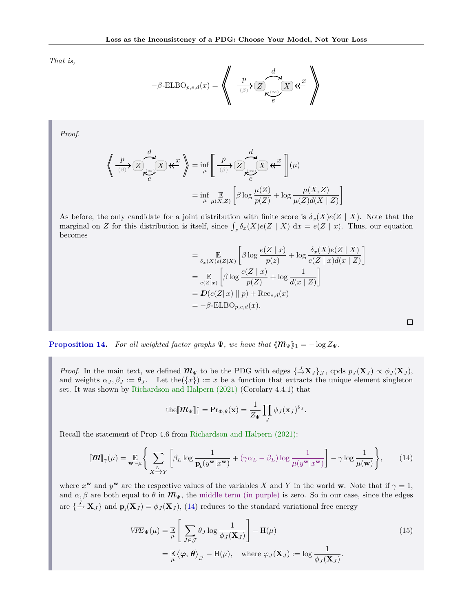*That is,*

$$
-\beta\text{-ELBO}_{p,e,d}(x) = \left\langle \left\langle \begin{array}{c} p \\ \frac{p}{\beta} \\ \end{array} \right\rangle \text{Var} \right\rangle \text{Var} \right\rangle
$$

*Proof.*

$$
\left\langle \frac{p}{\beta} \sum_{\substack{\ell \in \mathbb{Z} \\ \ell}} \frac{d}{X} \mathcal{K} \right\rangle_{\ell} = \inf_{\mu} \left[ \frac{p}{\beta} \sum_{\substack{\ell \in \mathbb{Z} \\ \ell}} \frac{d}{X} \mathcal{K} \right] (\mu)
$$

$$
= \inf_{\mu} \mathbb{E}_{\mu}(X, Z) \left[ \beta \log \frac{\mu(Z)}{p(Z)} + \log \frac{\mu(X, Z)}{\mu(Z) d(X | Z)} \right]
$$

As before, the only candidate for a joint distribution with finite score is  $\delta_x(X)e(Z \mid X)$ . Note that the marginal on *Z* for this distribution is itself, since  $\int_x \delta_x(X)e(Z \mid X) dx = e(Z \mid x)$ . Thus, our equation becomes

$$
= \mathop{\mathbb{E}}_{\delta_x(X)e(Z|X)} \left[ \beta \log \frac{e(Z \mid x)}{p(z)} + \log \frac{\delta_x(X)e(Z \mid X)}{e(Z \mid x)d(x \mid Z)} \right]
$$
  
\n
$$
= \mathop{\mathbb{E}}_{e(Z|x)} \left[ \beta \log \frac{e(Z \mid x)}{p(Z)} + \log \frac{1}{d(x \mid Z)} \right]
$$
  
\n
$$
= D(e(Z \mid x) \parallel p) + \text{Rec}_{e,d}(x)
$$
  
\n
$$
= -\beta - \text{ELBO}_{p,e,d}(x).
$$

<span id="page-23-1"></span> $\Box$ 

**[Proposition 14.](#page-7-2)** *For all weighted factor graphs*  $\Psi$ *, we have that*  $\langle \mathcal{M}_{\Psi} \rangle$ <sub>1</sub> = − log  $Z_{\Psi}$ *.* 

*Proof.* In the main text, we defined  $\mathcal{M}_{\Psi}$  to be the PDG with edges  $\{\frac{J}{\rightarrow} \mathbf{X}_{J}\}_\mathcal{J}$ , cpds  $p_J(\mathbf{X}_{J}) \propto \phi_J(\mathbf{X}_{J})$ , and weights  $\alpha_J, \beta_J := \theta_J$ . Let the( $\{x\}$ ) := *x* be a function that extracts the unique element singleton set. It was shown by [Richardson and Halpern \(2021\)](#page-9-2) (Corolary 4.4.1) that

$$
\text{the}[\![\mathbf{\mathcal{M}}_{\Psi}]\!]_1^* = \text{Pr}_{\Phi,\theta}(\mathbf{x}) = \frac{1}{Z_{\Psi}} \prod_{J} \phi_J(\mathbf{x}_J)^{\theta_J}.
$$

Recall the statement of Prop 4.6 from [Richardson and Halpern \(2021\):](#page-9-2)

<span id="page-23-0"></span>
$$
\llbracket \mathbf{m} \rrbracket_{\gamma}(\mu) = \mathop{\mathbb{E}}_{\mathbf{w} \sim \mu} \Bigg\{ \sum_{X \xrightarrow{L} Y} \Bigg[ \beta_L \log \frac{1}{\mathbf{p}_L(y^{\mathbf{w}} | x^{\mathbf{w}})} + (\gamma \alpha_L - \beta_L) \log \frac{1}{\mu(y^{\mathbf{w}} | x^{\mathbf{w}})} \Bigg] - \gamma \log \frac{1}{\mu(\mathbf{w})} \Bigg\},\tag{14}
$$

where  $x^{\mathbf{w}}$  and  $y^{\mathbf{w}}$  are the respective values of the variables *X* and *Y* in the world **w**. Note that if  $\gamma = 1$ , and  $\alpha, \beta$  are both equal to  $\theta$  in  $m_{\Psi}$ , the middle term (in purple) is zero. So in our case, since the edges are  $\{\rightarrow \mathbf{X}_J\}$  and  $\mathbf{p}_J(\mathbf{X}_J) = \phi_J(\mathbf{X}_J)$ , [\(14\)](#page-23-0) reduces to the standard variational free energy

$$
VFE_{\Psi}(\mu) = \mathbb{E}\left[\sum_{J \in \mathcal{J}} \theta_{J} \log \frac{1}{\phi_{J}(\mathbf{X}_{J})}\right] - H(\mu)
$$
  
=  $\mathbb{E}\left\langle \varphi, \theta \right\rangle_{\mathcal{J}} - H(\mu)$ , where  $\varphi_{J}(\mathbf{X}_{J}) := \log \frac{1}{\phi_{J}(\mathbf{X}_{J})}$ . (15)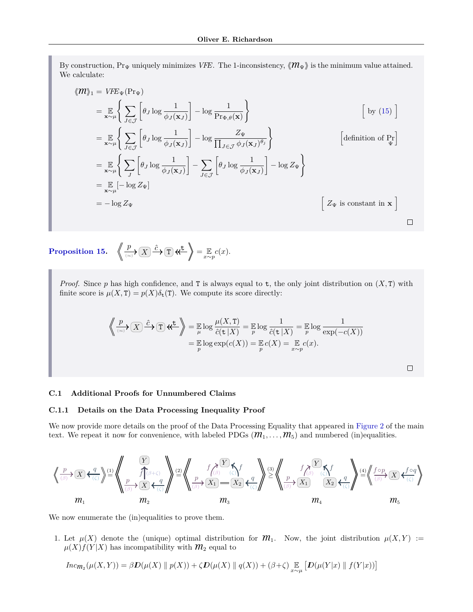By construction,  $Pr_{\Psi}$  uniquely minimizes *VFE*. The 1-inconsistency,  $\langle \mathcal{M}_{\Psi} \rangle$  is the minimum value attained. We calculate:

$$
\langle m \rangle_{1} = VFE_{\Psi}(\Pr_{\Psi})
$$
\n
$$
= \mathbb{E}_{\mathbf{x} \sim \mu} \left\{ \sum_{J \in \mathcal{J}} \left[ \theta_{J} \log \frac{1}{\phi_{J}(\mathbf{x}_{J})} \right] - \log \frac{1}{\Pr_{\Phi, \theta}(\mathbf{x})} \right\} \qquad \qquad \left[ \text{ by (15)} \right]
$$
\n
$$
= \mathbb{E}_{\mathbf{x} \sim \mu} \left\{ \sum_{J \in \mathcal{J}} \left[ \theta_{J} \log \frac{1}{\phi_{J}(\mathbf{x}_{J})} \right] - \log \frac{Z_{\Psi}}{\prod_{J \in \mathcal{J}} \phi_{J}(\mathbf{x}_{J})^{\theta_{J}}} \right\} \qquad \qquad \left[ \text{definition of } \Pr_{\Psi} \right]
$$
\n
$$
= \mathbb{E}_{\mathbf{x} \sim \mu} \left\{ \sum_{J} \left[ \theta_{J} \log \frac{1}{\phi_{J}(\mathbf{x}_{J})} \right] - \sum_{J \in \mathcal{J}} \left[ \theta_{J} \log \frac{1}{\phi_{J}(\mathbf{x}_{J})} \right] - \log Z_{\Psi} \right\}
$$
\n
$$
= -\log Z_{\Psi} \qquad \qquad \left[ Z_{\Psi} \text{ is constant in } \mathbf{x} \right]
$$

**[Proposition 15.](#page-8-1)**  $\left\langle \left\langle \frac{p}{\infty} \right\rangle \left( \overline{X} \right) \right\rangle \stackrel{\hat{c}}{\longrightarrow} \left( \overline{T} \right) \left\langle \left\langle \left\langle \cdot \right\rangle \right\rangle \right\rangle = \mathop{\mathbb{E}}_{x \sim p} c(x).$ 

*Proof.* Since  $p$  has high confidence, and T is always equal to  $t$ , the only joint distribution on  $(X, T)$  with finite score is  $\mu(X, T) = p(X)\delta_t(T)$ . We compute its score directly:

$$
\left\langle \bigotimes_{(0)} \mathcal{F}(\overline{X}) \xrightarrow{\hat{c}} \mathcal{T} \right\rangle \left\langle \bigotimes_{\mu} \mathcal{F}^{\mathbf{t}} \right\rangle = \mathbb{E} \log \frac{\mu(X, \mathcal{T})}{\hat{c}(\mathbf{t} | X)} = \mathbb{E} \log \frac{1}{\hat{c}(\mathbf{t} | X)} = \mathbb{E} \log \frac{1}{\exp(-c(X))}
$$

$$
= \mathbb{E} \log \exp(c(X)) = \mathbb{E} c(X) = \mathbb{E} c(x).
$$

 $\Box$ 

#### **C.1 Additional Proofs for Unnumbered Claims**

#### **C.1.1 Details on the Data Processing Inequality Proof**

We now provide more details on the proof of the Data Processing Equality that appeared in [Figure 2](#page-6-0) of the main text. We repeat it now for convenience, with labeled PDGs  $(m_1, \ldots, m_5)$  and numbered (in)equalities.

$$
\left\langle \frac{p}{\beta} \right\rangle \times \left\langle \frac{q}{\beta} \right\rangle \stackrel{(1)}{=} \left\langle \frac{p}{\beta} \right\rangle \stackrel{(2)}{=} \left\langle \frac{p}{\beta} \right\rangle \stackrel{(3)}{=} \left\langle \frac{p}{\beta} \right\rangle \stackrel{(4)}{=} \left\langle \frac{p}{\beta} \right\rangle \stackrel{(5)}{=} \left\langle \frac{p}{\beta} \right\rangle \stackrel{(6)}{=} \left\langle \frac{p}{\beta} \right\rangle \stackrel{(7)}{=} \left\langle \frac{p}{\beta} \right\rangle \stackrel{(8)}{=} \left\langle \frac{p}{\beta} \right\rangle \stackrel{(9)}{=} \left\langle \frac{p}{\beta} \right\rangle \stackrel{(1)}{=} \left\langle \frac{p}{\beta} \right\rangle \stackrel{(5)}{=} \left\langle \frac{p}{\beta} \right\rangle \stackrel{(6)}{=} \left\langle \frac{p}{\beta} \right\rangle \stackrel{(7)}{=} \left\langle \frac{p}{\beta} \right\rangle \stackrel{(8)}{=} \left\langle \frac{p}{\beta} \right\rangle \stackrel{(9)}{=} \left\langle \frac{p}{\beta} \right\rangle \stackrel{(1)}{=} \left\langle \frac{p}{\beta} \right\rangle \stackrel{(5)}{=} \left\langle \frac{p}{\beta} \right\rangle \stackrel{(6)}{=} \left\langle \frac{p}{\beta} \right\rangle \stackrel{(7)}{=} \left\langle \frac{p}{\beta} \right\rangle \stackrel{(8)}{=} \left\langle \frac{p}{\beta} \right\rangle \stackrel{(9)}{=} \left\langle \frac{p}{\beta} \right\rangle \stackrel{(1)}{=} \left\langle \frac{p}{\beta} \right\rangle \stackrel{(1)}{=} \left\langle \frac{p}{\beta} \right\rangle \stackrel{(1)}{=} \left\langle \frac{p}{\beta} \right\rangle \stackrel{(1)}{=} \left\langle \frac{p}{\beta} \right\rangle \stackrel{(1)}{=} \left\langle \frac{p}{\beta} \right\rangle \stackrel{(1)}{=} \left\langle \frac{p}{\beta} \right\rangle \stackrel{(1)}{=} \left\langle \frac{p}{\beta} \right\rangle \stackrel{(1)}{=} \left\langle \frac{p}{\beta} \right\rangle \stackrel{(1)}{=} \left\langle \frac{p}{\beta} \right\rangle \stackrel{(1)}
$$

We now enumerate the (in)equalities to prove them.

1. Let  $\mu(X)$  denote the (unique) optimal distribution for  $\mathcal{M}_1$ . Now, the joint distribution  $\mu(X, Y) :=$  $\mu(X)f(Y|X)$  has incompatibility with  $\mathcal{M}_2$  equal to

$$
Incm_2(\mu(X,Y)) = \beta \mathcal{D}(\mu(X) \parallel p(X)) + \zeta \mathcal{D}(\mu(X) \parallel q(X)) + (\beta + \zeta) \mathop{\mathbb{E}}_{x \sim \mu} \left[ \mathcal{D}(\mu(Y|x) \parallel f(Y|x)) \right]
$$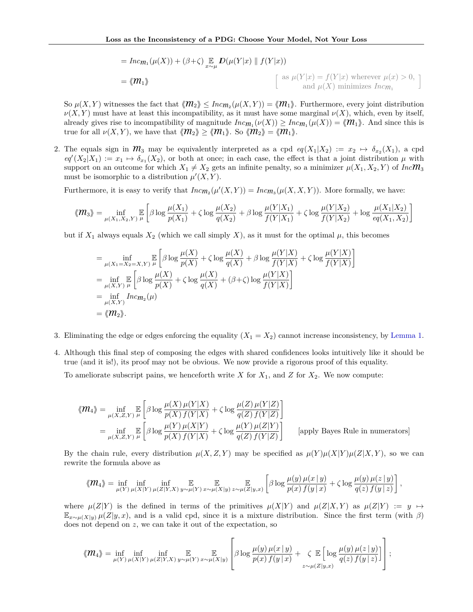$$
= Inc_{m_1}(\mu(X)) + (\beta + \zeta) \mathop{\mathbb{E}}_{x \sim \mu} D(\mu(Y|x) \parallel f(Y|x))
$$
  
=  $\langle m_1 \rangle$  
$$
\begin{bmatrix} \text{as } \mu(Y|x) = f(Y|x) \text{ wherever } \mu(x) > 0, \\ \text{and } \mu(X) \text{ minimizes } Inc_{m_1} \end{bmatrix}
$$

So  $\mu(X, Y)$  witnesses the fact that  $\langle \mathcal{M}_2 \rangle \leq Inc_{\mathcal{M}_2}(\mu(X, Y)) = \langle \mathcal{M}_1 \rangle$ . Furthermore, every joint distribution  $\nu(X, Y)$  must have at least this incompatibility, as it must have some marginal  $\nu(X)$ , which, even by itself, already gives rise to incompatibility of magnitude  $Inc_{m_1}(\nu(X)) \geq Inc_{m_1}(\mu(X)) = \langle m_1 \rangle$ . And since this is true for all  $\nu(X, Y)$ , we have that  $\langle \mathcal{M}_2 \rangle \geq \langle \mathcal{M}_1 \rangle$ . So  $\langle \mathcal{M}_2 \rangle = \langle \mathcal{M}_1 \rangle$ .

2. The equals sign in  $\mathcal{M}_3$  may be equivalently interpreted as a cpd  $eq(X_1|X_2) := x_2 \mapsto \delta_{x_2}(X_1)$ , a cpd  $eq'(X_2|X_1) := x_1 \mapsto \delta_{x_1}(X_2)$ , or both at once; in each case, the effect is that a joint distribution  $\mu$  with support on an outcome for which  $X_1 \neq X_2$  gets an infinite penalty, so a minimizer  $\mu(X_1, X_2, Y)$  of *Inc***M**<sub>3</sub> must be isomorphic to a distribution  $\mu'(X, Y)$ .

Furthermore, it is easy to verify that  $Inc_{m_2}(\mu'(X, Y)) = Inc_{m_3}(\mu(X, X, Y))$ . More formally, we have:

$$
\langle \mathbf{M}_3 \rangle = \inf_{\mu(X_1, X_2, Y)} \mathbb{E}\left[\beta \log \frac{\mu(X_1)}{p(X_1)} + \zeta \log \frac{\mu(X_2)}{q(X_2)} + \beta \log \frac{\mu(Y|X_1)}{f(Y|X_1)} + \zeta \log \frac{\mu(Y|X_2)}{f(Y|X_2)} + \log \frac{\mu(X_1|X_2)}{eq(X_1, X_2)}\right]
$$

but if  $X_1$  always equals  $X_2$  (which we call simply X), as it must for the optimal  $\mu$ , this becomes

$$
= \inf_{\mu(X_1=X_2=X,Y)} \mathbb{E}\left[\beta \log \frac{\mu(X)}{p(X)} + \zeta \log \frac{\mu(X)}{q(X)} + \beta \log \frac{\mu(Y|X)}{f(Y|X)} + \zeta \log \frac{\mu(Y|X)}{f(Y|X)}\right]
$$
  
\n
$$
= \inf_{\mu(X,Y)} \mathbb{E}\left[\beta \log \frac{\mu(X)}{p(X)} + \zeta \log \frac{\mu(X)}{q(X)} + (\beta + \zeta) \log \frac{\mu(Y|X)}{f(Y|X)}\right]
$$
  
\n
$$
= \inf_{\mu(X,Y)} Inc_{m_2}(\mu)
$$
  
\n
$$
= \langle m_2 \rangle.
$$

- 3. Eliminating the edge or edges enforcing the equality  $(X_1 = X_2)$  cannot increase inconsistency, by [Lemma 1.](#page-2-0)
- 4. Although this final step of composing the edges with shared confidences looks intuitively like it should be true (and it is!), its proof may not be obvious. We now provide a rigorous proof of this equality.

To ameliorate subscript pains, we henceforth write *X* for  $X_1$ , and *Z* for  $X_2$ . We now compute:

$$
\langle \mathbf{m}_4 \rangle = \inf_{\mu(X,Z,Y)} \mathbb{E}\left[\beta \log \frac{\mu(X)\,\mu(Y|X)}{p(X)\,f(Y|X)} + \zeta \log \frac{\mu(Z)\,\mu(Y|Z)}{q(Z)\,f(Y|Z)}\right]
$$
  
= 
$$
\inf_{\mu(X,Z,Y)} \mathbb{E}\left[\beta \log \frac{\mu(Y)\,\mu(X|Y)}{p(X)\,f(Y|X)} + \zeta \log \frac{\mu(Y)\,\mu(Z|Y)}{q(Z)\,f(Y|Z)}\right]
$$
 [apply Bayes Rule in numerators]

By the chain rule, every distribution  $\mu(X, Z, Y)$  may be specified as  $\mu(Y)\mu(X|Y)\mu(Z|X, Y)$ , so we can rewrite the formula above as

$$
\langle \mathcal{M}_4 \rangle = \inf_{\mu(Y)} \inf_{\mu(X|Y)} \inf_{\mu(Z|Y,X)} \mathbb{E}_{y \sim \mu(Y)} \mathbb{E}_{x \sim \mu(Z|y,x)} \left[ \beta \log \frac{\mu(y) \mu(x|y)}{p(x) f(y|x)} + \zeta \log \frac{\mu(y) \mu(z|y)}{q(z) f(y|x)} \right],
$$

where  $\mu(Z|Y)$  is the defined in terms of the primitives  $\mu(X|Y)$  and  $\mu(Z|X,Y)$  as  $\mu(Z|Y) := y \mapsto$  $\mathbb{E}_{x \sim \mu(X|y)} \mu(Z|y,x)$ , and is a valid cpd, since it is a mixture distribution. Since the first term (with *β*) does not depend on *z*, we can take it out of the expectation, so

$$
\langle\!\langle m_4 \rangle\!\rangle = \inf_{\mu(Y)} \inf_{\mu(X|Y)} \inf_{\mu(Z|Y,X)} \mathop{\mathbb{E}}_{y \sim \mu(Y)} \mathop{\mathbb{E}}_{x \sim \mu(X|y)} \left[ \beta \log \frac{\mu(y) \mu(x|y)}{p(x) f(y|x)} + \zeta \mathop{\mathbb{E}}_{z \sim \mu(Z|y,x)} \left[ \log \frac{\mu(y) \mu(z|y)}{q(z) f(y|x)} \right] \right];
$$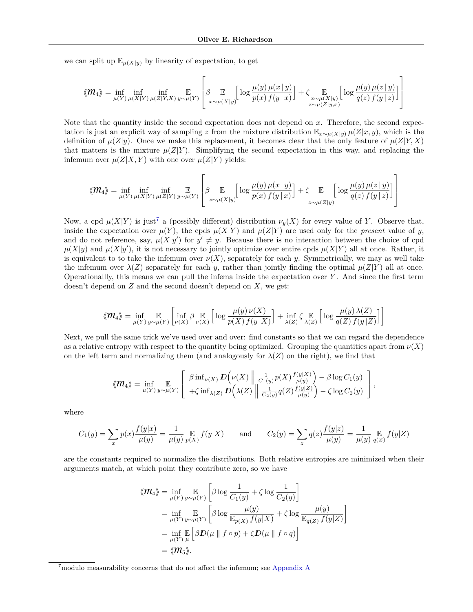we can split up  $\mathbb{E}_{\mu(X|y)}$  by linearity of expectation, to get

$$
\langle \!\langle \mathcal{M}_4 \rangle\!\rangle = \inf_{\mu(Y)} \inf_{\mu(X|Y)} \inf_{\mu(Z|Y,X)} \mathop{\mathbb{E}}_{y \sim \mu(Y)} \left[ \beta \mathop{\mathbb{E}}_{x \sim \mu(X|y)} \left[ \log \frac{\mu(y) \mu(x \, | \, y)}{p(x) \, f(y \, | \, x)} \right] + \zeta \mathop{\mathbb{E}}_{\substack{x \sim \mu(X|y) \\ z \sim \mu(Z|y,x)}} \left[ \log \frac{\mu(y) \mu(z \, | \, y)}{q(z) \, f(y \, | \, z)} \right] \right]
$$

Note that the quantity inside the second expectation does not depend on *x*. Therefore, the second expectation is just an explicit way of sampling *z* from the mixture distribution  $\mathbb{E}_{x \sim \mu(X|y)} \mu(Z|x, y)$ , which is the definition of  $\mu(Z|y)$ . Once we make this replacement, it becomes clear that the only feature of  $\mu(Z|Y, X)$ that matters is the mixture  $\mu(Z|Y)$ . Simplifying the second expectation in this way, and replacing the infemum over  $\mu(Z|X, Y)$  with one over  $\mu(Z|Y)$  yields:

$$
\langle \mathbf{M}_4 \rangle = \inf_{\mu(Y)} \inf_{\mu(X|Y)} \inf_{\mu(Z|Y)} \mathop{\mathbb{E}}_{y \sim \mu(Y)} \left[ \beta \mathop{\mathbb{E}}_{x \sim \mu(X|y)} \left[ \log \frac{\mu(y) \mu(x|y)}{p(x) f(y|x)} \right] + \zeta \mathop{\mathbb{E}}_{z \sim \mu(Z|y)} \left[ \log \frac{\mu(y) \mu(z|y)}{q(z) f(y|x)} \right] \right]
$$

Now, a cpd  $\mu(X|Y)$  is just<sup>[7](#page-26-0)</sup> a (possibly different) distribution  $\nu_\nu(X)$  for every value of *Y*. Observe that, inside the expectation over  $\mu(Y)$ , the cpds  $\mu(X|Y)$  and  $\mu(Z|Y)$  are used only for the *present* value of *y*, and do not reference, say,  $\mu(X|y')$  for  $y' \neq y$ . Because there is no interaction between the choice of cpd  $\mu(X|y)$  and  $\mu(X|y')$ , it is not necessary to jointly optimize over entire cpds  $\mu(X|Y)$  all at once. Rather, it is equivalent to to take the infemum over  $\nu(X)$ , separately for each *y*. Symmetrically, we may as well take the infemum over  $\lambda(Z)$  separately for each *y*, rather than jointly finding the optimal  $\mu(Z|Y)$  all at once. Operationallly, this means we can pull the infema inside the expectation over *Y* . And since the first term doesn't depend on *Z* and the second doesn't depend on *X*, we get:

$$
\langle M_4 \rangle = \inf_{\mu(Y)} \mathop{\mathbb{E}}_{y \sim \mu(Y)} \left[ \inf_{\nu(X)} \beta \mathop{\mathbb{E}}_{\nu(X)} \left[ \log \frac{\mu(y) \nu(X)}{p(X) f(y|X)} \right] + \inf_{\lambda(Z)} \zeta \mathop{\mathbb{E}}_{\lambda(Z)} \left[ \log \frac{\mu(y) \lambda(Z)}{q(Z) f(y|Z)} \right] \right]
$$

Next, we pull the same trick we've used over and over: find constants so that we can regard the dependence as a relative entropy with respect to the quantity being optimized. Grouping the quantities apart from  $\nu(X)$ on the left term and normalizing them (and analogously for  $\lambda(Z)$ ) on the right), we find that

$$
\langle \!\!\langle \mathbf{m}_4 \rangle\!\!\rangle = \inf_{\mu(Y)} \mathop{\mathbb{E}}_{y \sim \mu(Y)} \left[ \begin{array}{c} \beta \inf_{\nu(X)} D(\nu(X)) \left\| \frac{1}{C_1(y)} p(X) \frac{f(y|X)}{\mu(y)} \right) - \beta \log C_1(y) \\ + \zeta \inf_{\lambda(Z)} D(\lambda(Z)) \left\| \frac{1}{C_2(y)} q(Z) \frac{f(y|Z)}{\mu(y)} \right) - \zeta \log C_2(y) \end{array} \right],
$$

where

$$
C_1(y) = \sum_{x} p(x) \frac{f(y|x)}{\mu(y)} = \frac{1}{\mu(y)} \mathop{\mathbb{E}}_{p(X)} f(y|X) \quad \text{and} \quad C_2(y) = \sum_{z} q(z) \frac{f(y|z)}{\mu(y)} = \frac{1}{\mu(y)} \mathop{\mathbb{E}}_{q(Z)} f(y|Z)
$$

are the constants required to normalize the distributions. Both relative entropies are minimized when their arguments match, at which point they contribute zero, so we have

$$
\langle \mathbf{M}_4 \rangle = \inf_{\mu(Y)} \mathop{\mathbb{E}}_{y \sim \mu(Y)} \left[ \beta \log \frac{1}{C_1(y)} + \zeta \log \frac{1}{C_2(y)} \right]
$$
  
\n
$$
= \inf_{\mu(Y)} \mathop{\mathbb{E}}_{y \sim \mu(Y)} \left[ \beta \log \frac{\mu(y)}{\mathop{\mathbb{E}}_{p(X)} f(y|X)} + \zeta \log \frac{\mu(y)}{\mathop{\mathbb{E}}_{q(Z)} f(y|Z)} \right]
$$
  
\n
$$
= \inf_{\mu(Y)} \mathop{\mathbb{E}}_{\mu} \left[ \beta \mathbf{D}(\mu \parallel f \circ p) + \zeta \mathbf{D}(\mu \parallel f \circ q) \right]
$$
  
\n
$$
= \langle \mathbf{M}_5 \rangle.
$$

<span id="page-26-0"></span><sup>7</sup>modulo measurability concerns that do not affect the infemum; see [Appendix A](#page-10-0)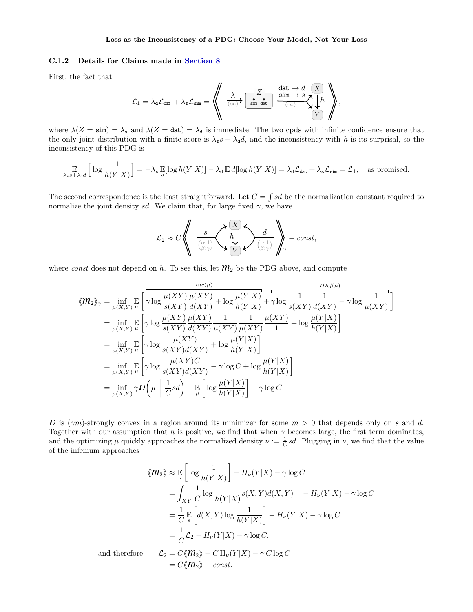#### **C.1.2 Details for Claims made in [Section 8](#page-7-0)**

First, the fact that

L<sup>1</sup> = *λ*dLdat + *λ*sLsim = \*\* sim dat *Z X Y λ* (∞) *h* dat 7→ *d* sim 7→ *s* (∞) ++*,*

where  $\lambda(Z = \sin) = \lambda_s$  and  $\lambda(Z = \det) = \lambda_d$  is immediate. The two cpds with infinite confidence ensure that the only joint distribution with a finite score is  $\lambda_s s + \lambda_d d$ , and the inconsistency with *h* is its surprisal, so the inconsistency of this PDG is

$$
\mathop{\mathbb{E}}_{\lambda_{\mathbf{s}} s + \lambda_{\mathbf{d}} d} \left[ \log \frac{1}{h(Y|X)} \right] = -\lambda_{\mathbf{s}} \mathop{\mathbb{E}}_{s} [\log h(Y|X)] - \lambda_{\mathbf{d}} \mathop{\mathbb{E}}_{d} [\log h(Y|X)] = \lambda_{\mathbf{d}} \mathcal{L}_{\text{dat}} + \lambda_{\mathbf{s}} \mathcal{L}_{\text{sim}} = \mathcal{L}_{1}, \text{ as promised.}
$$

The second correspondence is the least straightforward. Let  $C = \int sd$  be the normalization constant required to normalize the joint density *sd*. We claim that, for large fixed  $\gamma$ , we have

$$
\mathcal{L}_2 \approx C \left\langle \left\langle \begin{array}{c} s \\ \frac{1}{\binom{\alpha:1}{\beta:\gamma}} \displaystyle\left\langle \begin{array}{c} X \\ h \\ Y \end{array} \right\rangle \hspace{-1mm} \right\rangle \hspace{-2mm} \right\rangle \hspace{-2mm} + const,
$$

where *const* does not depend on  $h$ . To see this, let  $\mathcal{M}_2$  be the PDG above, and compute

$$
\langle \mathbf{m}_{2} \rangle_{\gamma} = \inf_{\mu(X,Y)} \mathbb{E} \left[ \gamma \log \frac{\mu(XY)}{s(XY)} \frac{\mu(XY)}{d(XY)} + \log \frac{\mu(Y|X)}{h(Y|X)} + \gamma \log \frac{1}{s(XY)} \frac{1}{d(XY)} - \gamma \log \frac{1}{\mu(XY)} \right]
$$
  
\n
$$
= \inf_{\mu(X,Y)} \mathbb{E} \left[ \gamma \log \frac{\mu(XY)}{s(XY)} \frac{\mu(XY)}{d(XY)} \frac{1}{\mu(XY)} \frac{1}{\mu(XY)} + \log \frac{\mu(Y|X)}{h(Y|X)} \right]
$$
  
\n
$$
= \inf_{\mu(X,Y)} \mathbb{E} \left[ \gamma \log \frac{\mu(XY)}{s(XY)d(XY)} + \log \frac{\mu(Y|X)}{h(Y|X)} \right]
$$
  
\n
$$
= \inf_{\mu(X,Y)} \mathbb{E} \left[ \gamma \log \frac{\mu(XY)C}{s(XY)d(XY)} - \gamma \log C + \log \frac{\mu(Y|X)}{h(Y|X)} \right]
$$
  
\n
$$
= \inf_{\mu(X,Y)} \mathbb{E} \left[ \gamma \log \frac{\mu(XY)C}{s(XY)d(XY)} - \gamma \log C + \log \frac{\mu(Y|X)}{h(Y|X)} \right]
$$
  
\n
$$
= \inf_{\mu(X,Y)} \gamma D\left( \mu \left\| \frac{1}{C} s d \right\| + \mathbb{E} \left[ \log \frac{\mu(Y|X)}{h(Y|X)} \right] - \gamma \log C \right)
$$

*ID* is (*γm*)-strongly convex in a region around its minimizer for some *m >* 0 that depends only on *s* and *d*. Together with our assumption that *h* is positive, we find that when  $\gamma$  becomes large, the first term dominates, and the optimizing  $\mu$  quickly approaches the normalized density  $\nu := \frac{1}{C} sd$ . Plugging in  $\nu$ , we find that the value of the infemum approaches

$$
\langle \mathcal{M}_2 \rangle \approx \mathbb{E} \left[ \log \frac{1}{h(Y|X)} \right] - H_{\nu}(Y|X) - \gamma \log C
$$
  
= 
$$
\int_{XY} \frac{1}{C} \log \frac{1}{h(Y|X)} s(X,Y) d(X,Y) - H_{\nu}(Y|X) - \gamma \log C
$$
  
= 
$$
\frac{1}{C} \mathbb{E} \left[ d(X,Y) \log \frac{1}{h(Y|X)} \right] - H_{\nu}(Y|X) - \gamma \log C
$$
  
= 
$$
\frac{1}{C} \mathcal{L}_2 - H_{\nu}(Y|X) - \gamma \log C,
$$

and therefore  $\mathcal{L}_2 = C \langle \mathcal{M}_2 \rangle + C H_\nu(Y|X) - \gamma C \log C$ 

$$
=C\langle\!\langle m_2\rangle\!\rangle+const.
$$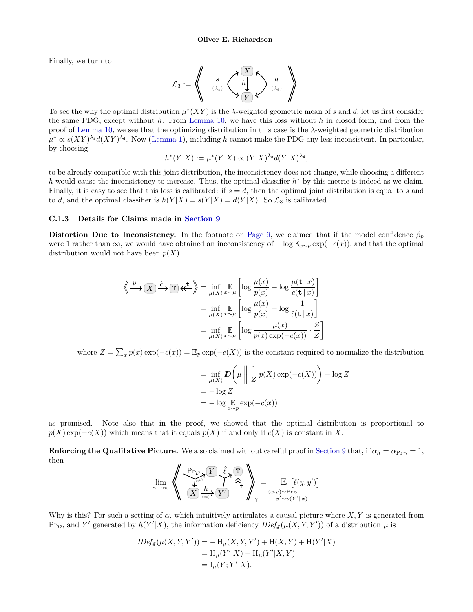Finally, we turn to

<sup>L</sup><sup>3</sup> := \*\* *<sup>X</sup> Y h* (*λ*d) *d* (*λ*s) *s* ++*.*

To see the why the optimal distribution  $\mu^*(XY)$  is the *λ*-weighted geometric mean of *s* and *d*, let us first consider the same PDG, except without *h*. From [Lemma 10,](#page-4-3) we have this loss without *h* in closed form, and from the proof of [Lemma 10,](#page-4-3) we see that the optimizing distribution in this case is the *λ*-weighted geometric distribution  $\mu^* \propto s(XY)^{\lambda_s} d(XY)^{\lambda_d}$ . Now [\(Lemma 1\)](#page-2-0), including *h* cannot make the PDG any less inconsistent. In particular, by choosing

$$
h^*(Y|X) := \mu^*(Y|X) \propto (Y|X)^{\lambda_s} d(Y|X)^{\lambda_d},
$$

to be already compatible with this joint distribution, the inconsistency does not change, while choosing a different *h* would cause the inconsistency to increase. Thus, the optimal classifier *h*<sup>∗</sup> by this metric is indeed as we claim. Finally, it is easy to see that this loss is calibrated: if  $s = d$ , then the optimal joint distribution is equal to *s* and to *d*, and the optimal classifier is  $h(Y|X) = s(Y|X) = d(Y|X)$ . So  $\mathcal{L}_3$  is calibrated.

#### **C.1.3 Details for Claims made in [Section 9](#page-8-2)**

**Distortion Due to Inconsistency.** In the footnote on [Page 9,](#page-8-0) we claimed that if the model confidence  $\beta_p$ were 1 rather than  $\infty$ , we would have obtained an incconsistency of  $-\log \mathbb{E}_{x \sim p} \exp(-c(x))$ , and that the optimal distribution would not have been *p*(*X*).

$$
\left\langle \frac{p}{\sqrt{2}} \right\rangle \left\langle \frac{x}{\sqrt{2}} \right\rangle = \inf_{\mu(X)} \mathbb{E}_{\mu(X)} \left[ \log \frac{\mu(x)}{p(x)} + \log \frac{\mu(\mathbf{t}|x)}{\hat{c}(\mathbf{t}|x)} \right]
$$

$$
= \inf_{\mu(X)} \mathbb{E}_{\mu(X)} \left[ \log \frac{\mu(x)}{p(x)} + \log \frac{1}{\hat{c}(\mathbf{t}|x)} \right]
$$

$$
= \inf_{\mu(X)} \mathbb{E}_{\mu(X)} \left[ \log \frac{\mu(x)}{p(x) \exp(-c(x))} \cdot \frac{Z}{Z} \right]
$$

where  $Z = \sum_x p(x) \exp(-c(x)) = \mathbb{E}_p \exp(-c(X))$  is the constant required to normalize the distribution

$$
= \inf_{\mu(X)} D\left(\mu \mid \frac{1}{Z} p(X) \exp(-c(X))\right) - \log Z
$$
  
=  $-\log Z$   
=  $-\log \mathbb{E}_{x \sim p} \exp(-c(x))$ 

as promised. Note also that in the proof, we showed that the optimal distribution is proportional to  $p(X) \exp(-c(X))$  which means that it equals  $p(X)$  if and only if  $c(X)$  is constant in X.

**Enforcing the Qualitative Picture.** We also claimed without careful proof in [Section 9](#page-8-2) that, if  $\alpha_h = \alpha_{\text{PrD}} = 1$ , then  $\overline{v}$ 

$$
\lim_{\gamma \to \infty} \left\langle \left( \frac{\Pr_{\mathcal{D}}}{X} \overbrace{\frac{h}{X}}^{\text{proj}} \overbrace{\frac{h}{Y}}^{\ell} \right) \uparrow \uparrow \right\rangle_{\gamma} = \lim_{(x,y) \sim \Pr_{\mathcal{D}} \atop y' \sim p(Y'|x)} \mathbb{E} \left[ \ell(y,y') \right]
$$

Why is this? For such a setting of  $\alpha$ , which intuitively articulates a causal picture where X, Y is generated from  $\Pr_{\mathcal{D}}$ , and *Y'* generated by  $h(Y'|X)$ , the information deficiency  $IDef_{\mathcal{S}}(\mu(X, Y, Y'))$  of a distribution  $\mu$  is

$$
IDef_{\mathcal{S}}(\mu(X, Y, Y')) = -\mathcal{H}_{\mu}(X, Y, Y') + \mathcal{H}(X, Y) + \mathcal{H}(Y'|X)
$$
  
=  $\mathcal{H}_{\mu}(Y'|X) - \mathcal{H}_{\mu}(Y'|X, Y)$   
=  $\mathcal{I}_{\mu}(Y; Y'|X).$